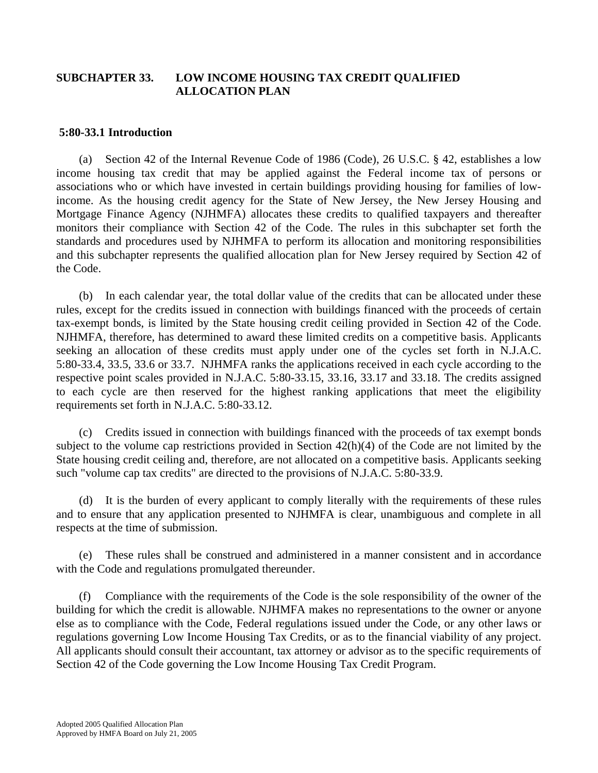# **SUBCHAPTER 33. LOW INCOME HOUSING TAX CREDIT QUALIFIED ALLOCATION PLAN**

## **5:80-33.1 Introduction**

 (a) Section 42 of the Internal Revenue Code of 1986 (Code), 26 U.S.C. § 42, establishes a low income housing tax credit that may be applied against the Federal income tax of persons or associations who or which have invested in certain buildings providing housing for families of lowincome. As the housing credit agency for the State of New Jersey, the New Jersey Housing and Mortgage Finance Agency (NJHMFA) allocates these credits to qualified taxpayers and thereafter monitors their compliance with Section 42 of the Code. The rules in this subchapter set forth the standards and procedures used by NJHMFA to perform its allocation and monitoring responsibilities and this subchapter represents the qualified allocation plan for New Jersey required by Section 42 of the Code.

 (b) In each calendar year, the total dollar value of the credits that can be allocated under these rules, except for the credits issued in connection with buildings financed with the proceeds of certain tax-exempt bonds, is limited by the State housing credit ceiling provided in Section 42 of the Code. NJHMFA, therefore, has determined to award these limited credits on a competitive basis. Applicants seeking an allocation of these credits must apply under one of the cycles set forth in N.J.A.C. 5:80-33.4, 33.5, 33.6 or 33.7. NJHMFA ranks the applications received in each cycle according to the respective point scales provided in N.J.A.C. 5:80-33.15, 33.16, 33.17 and 33.18. The credits assigned to each cycle are then reserved for the highest ranking applications that meet the eligibility requirements set forth in N.J.A.C. 5:80-33.12.

 (c) Credits issued in connection with buildings financed with the proceeds of tax exempt bonds subject to the volume cap restrictions provided in Section 42(h)(4) of the Code are not limited by the State housing credit ceiling and, therefore, are not allocated on a competitive basis. Applicants seeking such "volume cap tax credits" are directed to the provisions of N.J.A.C. 5:80-33.9.

 (d) It is the burden of every applicant to comply literally with the requirements of these rules and to ensure that any application presented to NJHMFA is clear, unambiguous and complete in all respects at the time of submission.

 (e) These rules shall be construed and administered in a manner consistent and in accordance with the Code and regulations promulgated thereunder.

 (f) Compliance with the requirements of the Code is the sole responsibility of the owner of the building for which the credit is allowable. NJHMFA makes no representations to the owner or anyone else as to compliance with the Code, Federal regulations issued under the Code, or any other laws or regulations governing Low Income Housing Tax Credits, or as to the financial viability of any project. All applicants should consult their accountant, tax attorney or advisor as to the specific requirements of Section 42 of the Code governing the Low Income Housing Tax Credit Program.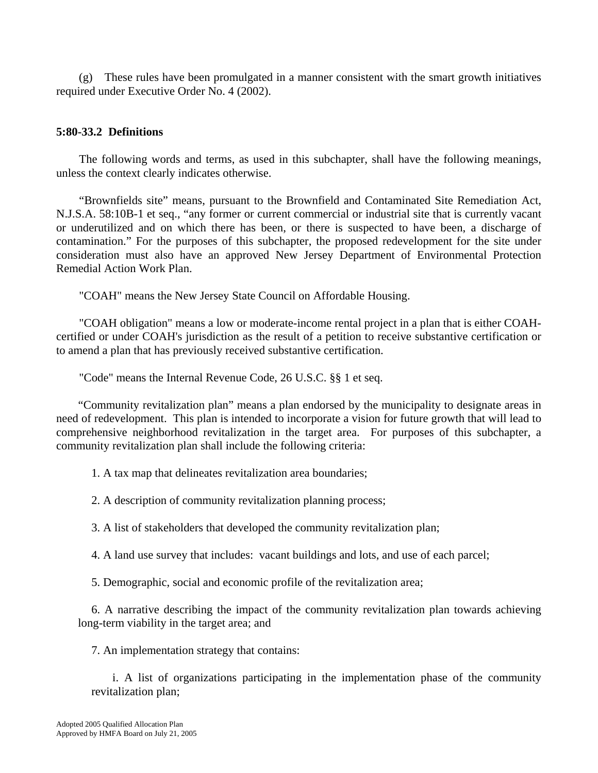(g) These rules have been promulgated in a manner consistent with the smart growth initiatives required under Executive Order No. 4 (2002).

# **5:80-33.2 Definitions**

 The following words and terms, as used in this subchapter, shall have the following meanings, unless the context clearly indicates otherwise.

"Brownfields site" means, pursuant to the Brownfield and Contaminated Site Remediation Act, N.J.S.A. 58:10B-1 et seq., "any former or current commercial or industrial site that is currently vacant or underutilized and on which there has been, or there is suspected to have been, a discharge of contamination." For the purposes of this subchapter, the proposed redevelopment for the site under consideration must also have an approved New Jersey Department of Environmental Protection Remedial Action Work Plan.

"COAH" means the New Jersey State Council on Affordable Housing.

 "COAH obligation" means a low or moderate-income rental project in a plan that is either COAHcertified or under COAH's jurisdiction as the result of a petition to receive substantive certification or to amend a plan that has previously received substantive certification.

"Code" means the Internal Revenue Code, 26 U.S.C. §§ 1 et seq.

 "Community revitalization plan" means a plan endorsed by the municipality to designate areas in need of redevelopment. This plan is intended to incorporate a vision for future growth that will lead to comprehensive neighborhood revitalization in the target area. For purposes of this subchapter, a community revitalization plan shall include the following criteria:

1. A tax map that delineates revitalization area boundaries;

2. A description of community revitalization planning process;

3. A list of stakeholders that developed the community revitalization plan;

4. A land use survey that includes: vacant buildings and lots, and use of each parcel;

5. Demographic, social and economic profile of the revitalization area;

 6. A narrative describing the impact of the community revitalization plan towards achieving long-term viability in the target area; and

7. An implementation strategy that contains:

 i. A list of organizations participating in the implementation phase of the community revitalization plan;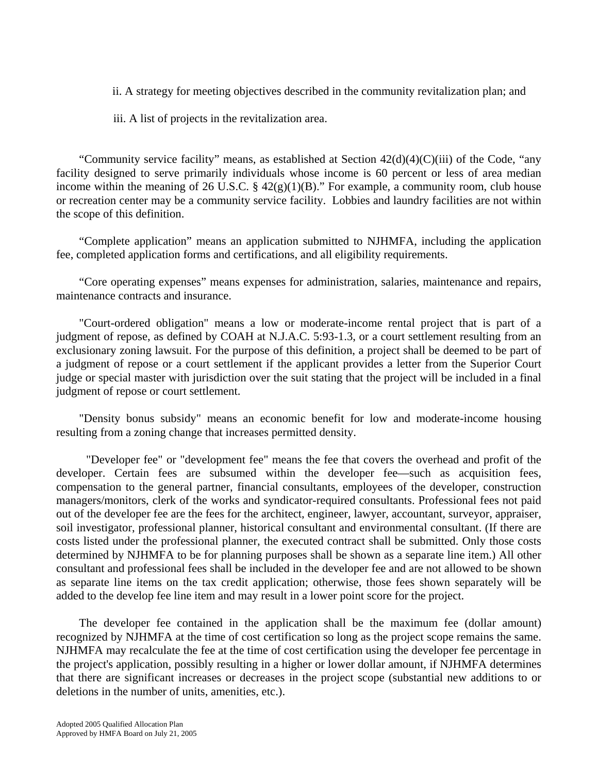ii. A strategy for meeting objectives described in the community revitalization plan; and

iii. A list of projects in the revitalization area.

 "Community service facility" means, as established at Section 42(d)(4)(C)(iii) of the Code, "any facility designed to serve primarily individuals whose income is 60 percent or less of area median income within the meaning of 26 U.S.C.  $\S$  42(g)(1)(B)." For example, a community room, club house or recreation center may be a community service facility. Lobbies and laundry facilities are not within the scope of this definition.

 "Complete application" means an application submitted to NJHMFA, including the application fee, completed application forms and certifications, and all eligibility requirements.

 "Core operating expenses" means expenses for administration, salaries, maintenance and repairs, maintenance contracts and insurance.

 "Court-ordered obligation" means a low or moderate-income rental project that is part of a judgment of repose, as defined by COAH at N.J.A.C. 5:93-1.3, or a court settlement resulting from an exclusionary zoning lawsuit. For the purpose of this definition, a project shall be deemed to be part of a judgment of repose or a court settlement if the applicant provides a letter from the Superior Court judge or special master with jurisdiction over the suit stating that the project will be included in a final judgment of repose or court settlement.

 "Density bonus subsidy" means an economic benefit for low and moderate-income housing resulting from a zoning change that increases permitted density.

 "Developer fee" or "development fee" means the fee that covers the overhead and profit of the developer. Certain fees are subsumed within the developer fee—such as acquisition fees, compensation to the general partner, financial consultants, employees of the developer, construction managers/monitors, clerk of the works and syndicator-required consultants. Professional fees not paid out of the developer fee are the fees for the architect, engineer, lawyer, accountant, surveyor, appraiser, soil investigator, professional planner, historical consultant and environmental consultant. (If there are costs listed under the professional planner, the executed contract shall be submitted. Only those costs determined by NJHMFA to be for planning purposes shall be shown as a separate line item.) All other consultant and professional fees shall be included in the developer fee and are not allowed to be shown as separate line items on the tax credit application; otherwise, those fees shown separately will be added to the develop fee line item and may result in a lower point score for the project.

 The developer fee contained in the application shall be the maximum fee (dollar amount) recognized by NJHMFA at the time of cost certification so long as the project scope remains the same. NJHMFA may recalculate the fee at the time of cost certification using the developer fee percentage in the project's application, possibly resulting in a higher or lower dollar amount, if NJHMFA determines that there are significant increases or decreases in the project scope (substantial new additions to or deletions in the number of units, amenities, etc.).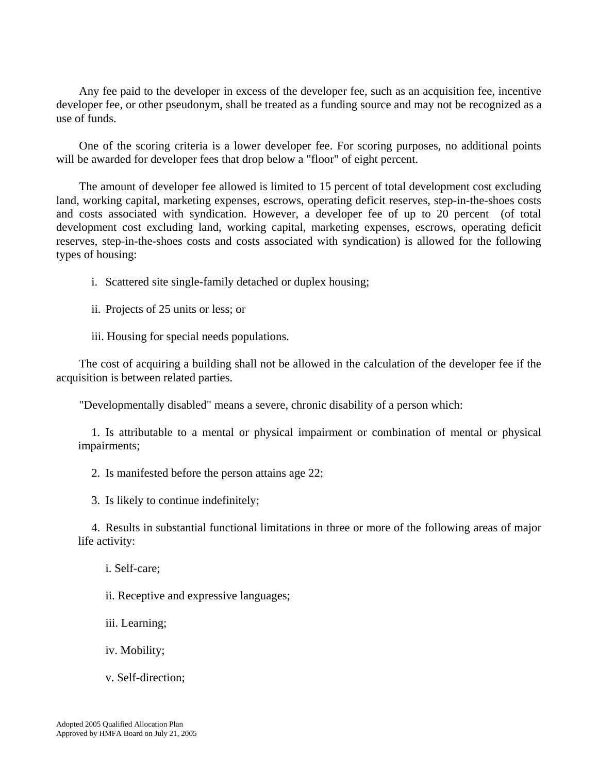Any fee paid to the developer in excess of the developer fee, such as an acquisition fee, incentive developer fee, or other pseudonym, shall be treated as a funding source and may not be recognized as a use of funds.

 One of the scoring criteria is a lower developer fee. For scoring purposes, no additional points will be awarded for developer fees that drop below a "floor" of eight percent.

 The amount of developer fee allowed is limited to 15 percent of total development cost excluding land, working capital, marketing expenses, escrows, operating deficit reserves, step-in-the-shoes costs and costs associated with syndication. However, a developer fee of up to 20 percent (of total development cost excluding land, working capital, marketing expenses, escrows, operating deficit reserves, step-in-the-shoes costs and costs associated with syndication) is allowed for the following types of housing:

- i. Scattered site single-family detached or duplex housing;
- ii. Projects of 25 units or less; or
- iii. Housing for special needs populations.

 The cost of acquiring a building shall not be allowed in the calculation of the developer fee if the acquisition is between related parties.

"Developmentally disabled" means a severe, chronic disability of a person which:

 1. Is attributable to a mental or physical impairment or combination of mental or physical impairments;

2. Is manifested before the person attains age 22;

3. Is likely to continue indefinitely;

 4. Results in substantial functional limitations in three or more of the following areas of major life activity:

- i. Self-care;
- ii. Receptive and expressive languages;
- iii. Learning;
- iv. Mobility;
- v. Self-direction;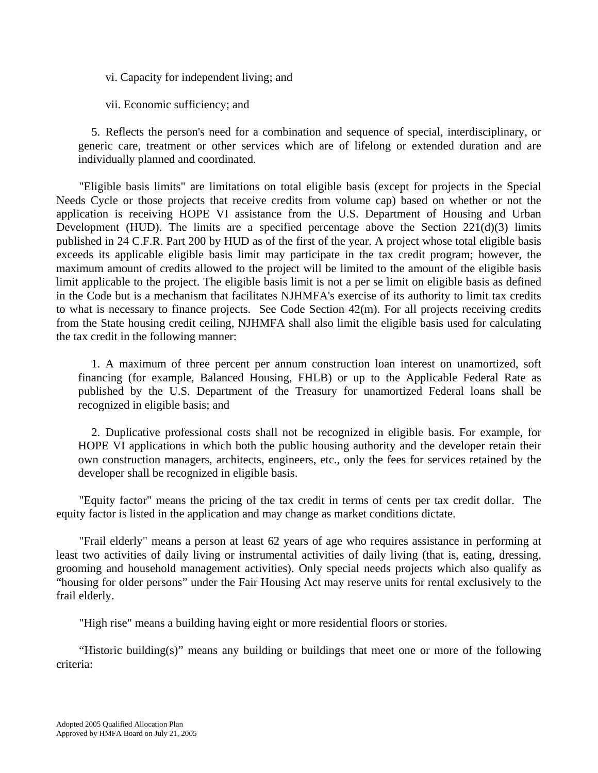vi. Capacity for independent living; and

vii. Economic sufficiency; and

 5. Reflects the person's need for a combination and sequence of special, interdisciplinary, or generic care, treatment or other services which are of lifelong or extended duration and are individually planned and coordinated.

 "Eligible basis limits" are limitations on total eligible basis (except for projects in the Special Needs Cycle or those projects that receive credits from volume cap) based on whether or not the application is receiving HOPE VI assistance from the U.S. Department of Housing and Urban Development (HUD). The limits are a specified percentage above the Section  $221(d)(3)$  limits published in 24 C.F.R. Part 200 by HUD as of the first of the year. A project whose total eligible basis exceeds its applicable eligible basis limit may participate in the tax credit program; however, the maximum amount of credits allowed to the project will be limited to the amount of the eligible basis limit applicable to the project. The eligible basis limit is not a per se limit on eligible basis as defined in the Code but is a mechanism that facilitates NJHMFA's exercise of its authority to limit tax credits to what is necessary to finance projects. See Code Section 42(m). For all projects receiving credits from the State housing credit ceiling, NJHMFA shall also limit the eligible basis used for calculating the tax credit in the following manner:

 1. A maximum of three percent per annum construction loan interest on unamortized, soft financing (for example, Balanced Housing, FHLB) or up to the Applicable Federal Rate as published by the U.S. Department of the Treasury for unamortized Federal loans shall be recognized in eligible basis; and

 2. Duplicative professional costs shall not be recognized in eligible basis. For example, for HOPE VI applications in which both the public housing authority and the developer retain their own construction managers, architects, engineers, etc., only the fees for services retained by the developer shall be recognized in eligible basis.

 "Equity factor" means the pricing of the tax credit in terms of cents per tax credit dollar. The equity factor is listed in the application and may change as market conditions dictate.

 "Frail elderly" means a person at least 62 years of age who requires assistance in performing at least two activities of daily living or instrumental activities of daily living (that is, eating, dressing, grooming and household management activities). Only special needs projects which also qualify as "housing for older persons" under the Fair Housing Act may reserve units for rental exclusively to the frail elderly.

"High rise" means a building having eight or more residential floors or stories.

 "Historic building(s)" means any building or buildings that meet one or more of the following criteria: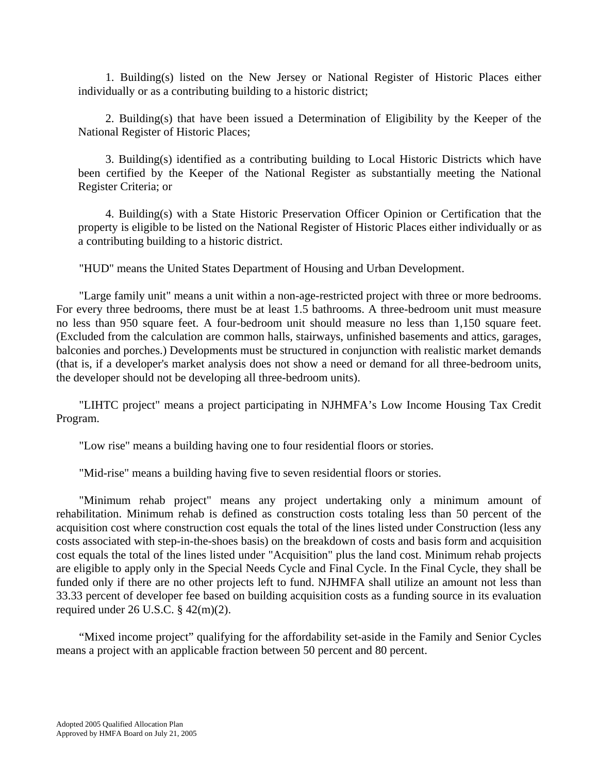1. Building(s) listed on the New Jersey or National Register of Historic Places either individually or as a contributing building to a historic district;

 2. Building(s) that have been issued a Determination of Eligibility by the Keeper of the National Register of Historic Places;

 3. Building(s) identified as a contributing building to Local Historic Districts which have been certified by the Keeper of the National Register as substantially meeting the National Register Criteria; or

 4. Building(s) with a State Historic Preservation Officer Opinion or Certification that the property is eligible to be listed on the National Register of Historic Places either individually or as a contributing building to a historic district.

"HUD" means the United States Department of Housing and Urban Development.

 "Large family unit" means a unit within a non-age-restricted project with three or more bedrooms. For every three bedrooms, there must be at least 1.5 bathrooms. A three-bedroom unit must measure no less than 950 square feet. A four-bedroom unit should measure no less than 1,150 square feet. (Excluded from the calculation are common halls, stairways, unfinished basements and attics, garages, balconies and porches.) Developments must be structured in conjunction with realistic market demands (that is, if a developer's market analysis does not show a need or demand for all three-bedroom units, the developer should not be developing all three-bedroom units).

 "LIHTC project" means a project participating in NJHMFA's Low Income Housing Tax Credit Program.

"Low rise" means a building having one to four residential floors or stories.

"Mid-rise" means a building having five to seven residential floors or stories.

 "Minimum rehab project" means any project undertaking only a minimum amount of rehabilitation. Minimum rehab is defined as construction costs totaling less than 50 percent of the acquisition cost where construction cost equals the total of the lines listed under Construction (less any costs associated with step-in-the-shoes basis) on the breakdown of costs and basis form and acquisition cost equals the total of the lines listed under "Acquisition" plus the land cost. Minimum rehab projects are eligible to apply only in the Special Needs Cycle and Final Cycle. In the Final Cycle, they shall be funded only if there are no other projects left to fund. NJHMFA shall utilize an amount not less than 33.33 percent of developer fee based on building acquisition costs as a funding source in its evaluation required under  $26$  U.S.C.  $\S$  42(m)(2).

 "Mixed income project" qualifying for the affordability set-aside in the Family and Senior Cycles means a project with an applicable fraction between 50 percent and 80 percent.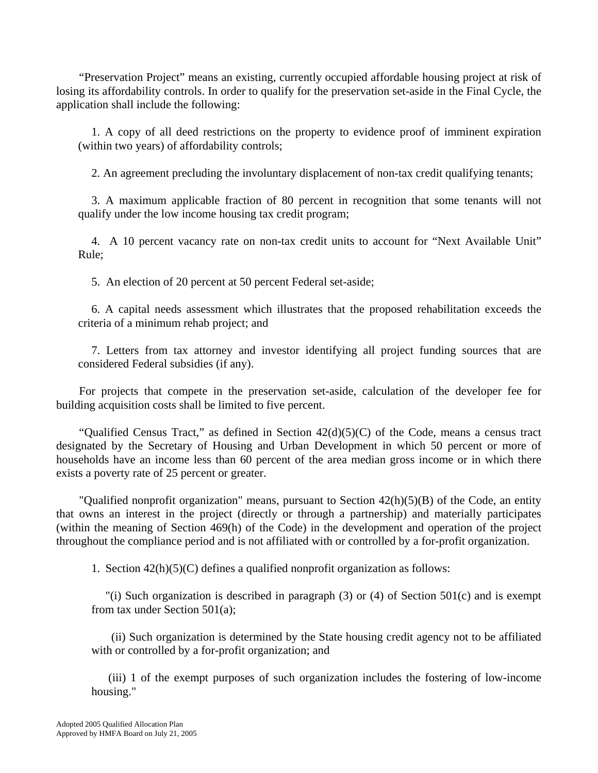"Preservation Project" means an existing, currently occupied affordable housing project at risk of losing its affordability controls. In order to qualify for the preservation set-aside in the Final Cycle, the application shall include the following:

 1. A copy of all deed restrictions on the property to evidence proof of imminent expiration (within two years) of affordability controls;

2. An agreement precluding the involuntary displacement of non-tax credit qualifying tenants;

 3. A maximum applicable fraction of 80 percent in recognition that some tenants will not qualify under the low income housing tax credit program;

 4. A 10 percent vacancy rate on non-tax credit units to account for "Next Available Unit" Rule;

5. An election of 20 percent at 50 percent Federal set-aside;

 6. A capital needs assessment which illustrates that the proposed rehabilitation exceeds the criteria of a minimum rehab project; and

 7. Letters from tax attorney and investor identifying all project funding sources that are considered Federal subsidies (if any).

 For projects that compete in the preservation set-aside, calculation of the developer fee for building acquisition costs shall be limited to five percent.

"Qualified Census Tract," as defined in Section  $42(d)(5)(C)$  of the Code, means a census tract designated by the Secretary of Housing and Urban Development in which 50 percent or more of households have an income less than 60 percent of the area median gross income or in which there exists a poverty rate of 25 percent or greater.

 "Qualified nonprofit organization" means, pursuant to Section 42(h)(5)(B) of the Code, an entity that owns an interest in the project (directly or through a partnership) and materially participates (within the meaning of Section 469(h) of the Code) in the development and operation of the project throughout the compliance period and is not affiliated with or controlled by a for-profit organization.

1. Section 42(h)(5)(C) defines a qualified nonprofit organization as follows:

"(i) Such organization is described in paragraph (3) or (4) of Section 501(c) and is exempt from tax under Section 501(a);

 (ii) Such organization is determined by the State housing credit agency not to be affiliated with or controlled by a for-profit organization; and

 (iii) 1 of the exempt purposes of such organization includes the fostering of low-income housing."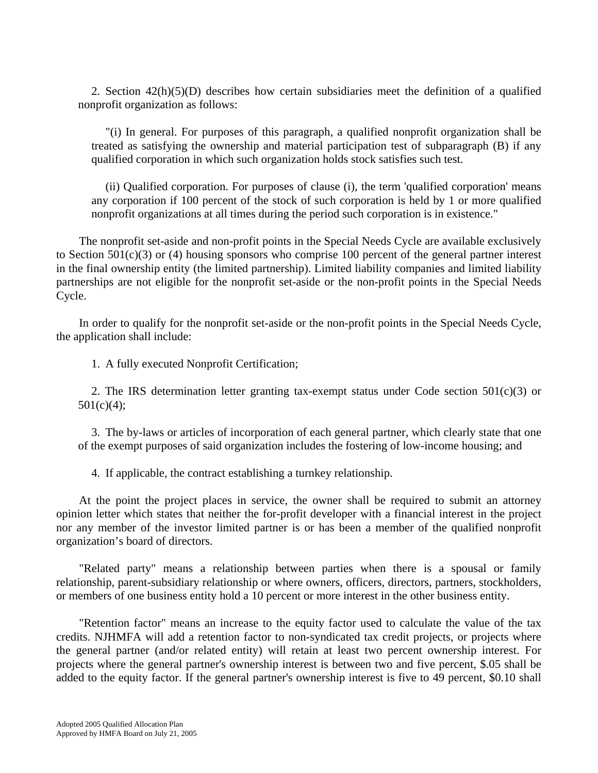2. Section 42(h)(5)(D) describes how certain subsidiaries meet the definition of a qualified nonprofit organization as follows:

"(i) In general. For purposes of this paragraph, a qualified nonprofit organization shall be treated as satisfying the ownership and material participation test of subparagraph (B) if any qualified corporation in which such organization holds stock satisfies such test.

(ii) Qualified corporation. For purposes of clause (i), the term 'qualified corporation' means any corporation if 100 percent of the stock of such corporation is held by 1 or more qualified nonprofit organizations at all times during the period such corporation is in existence."

 The nonprofit set-aside and non-profit points in the Special Needs Cycle are available exclusively to Section  $501(c)(3)$  or (4) housing sponsors who comprise 100 percent of the general partner interest in the final ownership entity (the limited partnership). Limited liability companies and limited liability partnerships are not eligible for the nonprofit set-aside or the non-profit points in the Special Needs Cycle.

 In order to qualify for the nonprofit set-aside or the non-profit points in the Special Needs Cycle, the application shall include:

1. A fully executed Nonprofit Certification;

2. The IRS determination letter granting tax-exempt status under Code section  $501(c)(3)$  or 501(c)(4);

 3. The by-laws or articles of incorporation of each general partner, which clearly state that one of the exempt purposes of said organization includes the fostering of low-income housing; and

4. If applicable, the contract establishing a turnkey relationship.

 At the point the project places in service, the owner shall be required to submit an attorney opinion letter which states that neither the for-profit developer with a financial interest in the project nor any member of the investor limited partner is or has been a member of the qualified nonprofit organization's board of directors.

 "Related party" means a relationship between parties when there is a spousal or family relationship, parent-subsidiary relationship or where owners, officers, directors, partners, stockholders, or members of one business entity hold a 10 percent or more interest in the other business entity.

 "Retention factor" means an increase to the equity factor used to calculate the value of the tax credits. NJHMFA will add a retention factor to non-syndicated tax credit projects, or projects where the general partner (and/or related entity) will retain at least two percent ownership interest. For projects where the general partner's ownership interest is between two and five percent, \$.05 shall be added to the equity factor. If the general partner's ownership interest is five to 49 percent, \$0.10 shall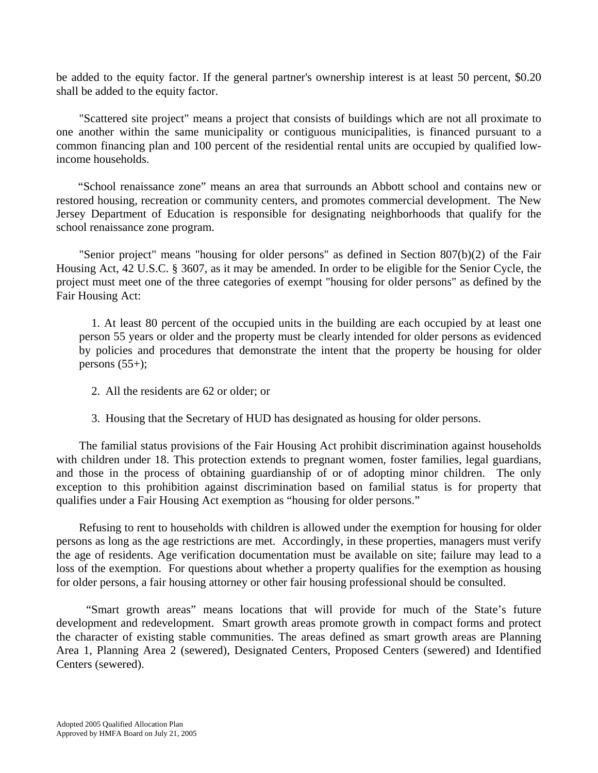be added to the equity factor. If the general partner's ownership interest is at least 50 percent, \$0.20 shall be added to the equity factor.

 "Scattered site project" means a project that consists of buildings which are not all proximate to one another within the same municipality or contiguous municipalities, is financed pursuant to a common financing plan and 100 percent of the residential rental units are occupied by qualified lowincome households.

"School renaissance zone" means an area that surrounds an Abbott school and contains new or restored housing, recreation or community centers, and promotes commercial development. The New Jersey Department of Education is responsible for designating neighborhoods that qualify for the school renaissance zone program.

 "Senior project" means "housing for older persons" as defined in Section 807(b)(2) of the Fair Housing Act, 42 U.S.C. § 3607, as it may be amended. In order to be eligible for the Senior Cycle, the project must meet one of the three categories of exempt "housing for older persons" as defined by the Fair Housing Act:

 1. At least 80 percent of the occupied units in the building are each occupied by at least one person 55 years or older and the property must be clearly intended for older persons as evidenced by policies and procedures that demonstrate the intent that the property be housing for older persons  $(55+)$ ;

- 2. All the residents are 62 or older; or
- 3. Housing that the Secretary of HUD has designated as housing for older persons.

 The familial status provisions of the Fair Housing Act prohibit discrimination against households with children under 18. This protection extends to pregnant women, foster families, legal guardians, and those in the process of obtaining guardianship of or of adopting minor children. The only exception to this prohibition against discrimination based on familial status is for property that qualifies under a Fair Housing Act exemption as "housing for older persons."

 Refusing to rent to households with children is allowed under the exemption for housing for older persons as long as the age restrictions are met. Accordingly, in these properties, managers must verify the age of residents. Age verification documentation must be available on site; failure may lead to a loss of the exemption. For questions about whether a property qualifies for the exemption as housing for older persons, a fair housing attorney or other fair housing professional should be consulted.

 "Smart growth areas" means locations that will provide for much of the State's future development and redevelopment. Smart growth areas promote growth in compact forms and protect the character of existing stable communities. The areas defined as smart growth areas are Planning Area 1, Planning Area 2 (sewered), Designated Centers, Proposed Centers (sewered) and Identified Centers (sewered).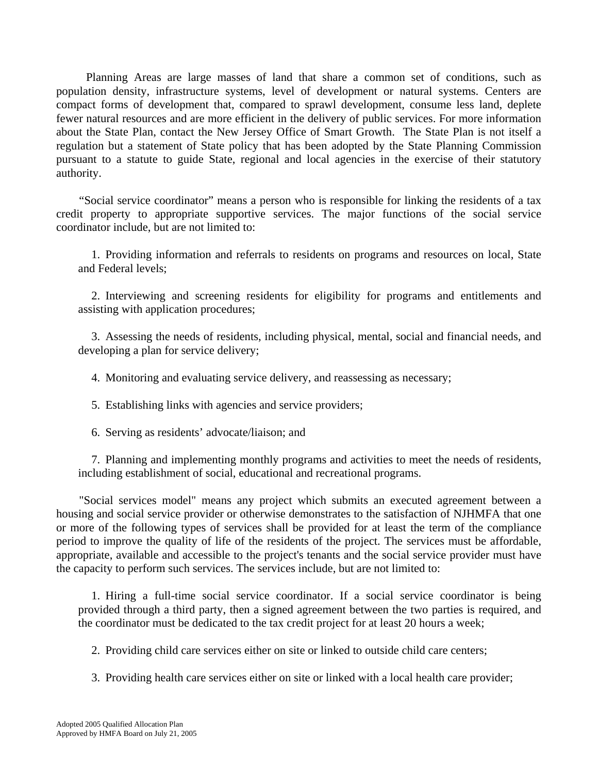Planning Areas are large masses of land that share a common set of conditions, such as population density, infrastructure systems, level of development or natural systems. Centers are compact forms of development that, compared to sprawl development, consume less land, deplete fewer natural resources and are more efficient in the delivery of public services. For more information about the State Plan, contact the New Jersey Office of Smart Growth. The State Plan is not itself a regulation but a statement of State policy that has been adopted by the State Planning Commission pursuant to a statute to guide State, regional and local agencies in the exercise of their statutory authority.

 "Social service coordinator" means a person who is responsible for linking the residents of a tax credit property to appropriate supportive services. The major functions of the social service coordinator include, but are not limited to:

 1. Providing information and referrals to residents on programs and resources on local, State and Federal levels;

 2. Interviewing and screening residents for eligibility for programs and entitlements and assisting with application procedures;

 3. Assessing the needs of residents, including physical, mental, social and financial needs, and developing a plan for service delivery;

4. Monitoring and evaluating service delivery, and reassessing as necessary;

5. Establishing links with agencies and service providers;

6. Serving as residents' advocate/liaison; and

 7. Planning and implementing monthly programs and activities to meet the needs of residents, including establishment of social, educational and recreational programs.

 "Social services model" means any project which submits an executed agreement between a housing and social service provider or otherwise demonstrates to the satisfaction of NJHMFA that one or more of the following types of services shall be provided for at least the term of the compliance period to improve the quality of life of the residents of the project. The services must be affordable, appropriate, available and accessible to the project's tenants and the social service provider must have the capacity to perform such services. The services include, but are not limited to:

1. Hiring a full-time social service coordinator. If a social service coordinator is being provided through a third party, then a signed agreement between the two parties is required, and the coordinator must be dedicated to the tax credit project for at least 20 hours a week;

2. Providing child care services either on site or linked to outside child care centers;

3. Providing health care services either on site or linked with a local health care provider;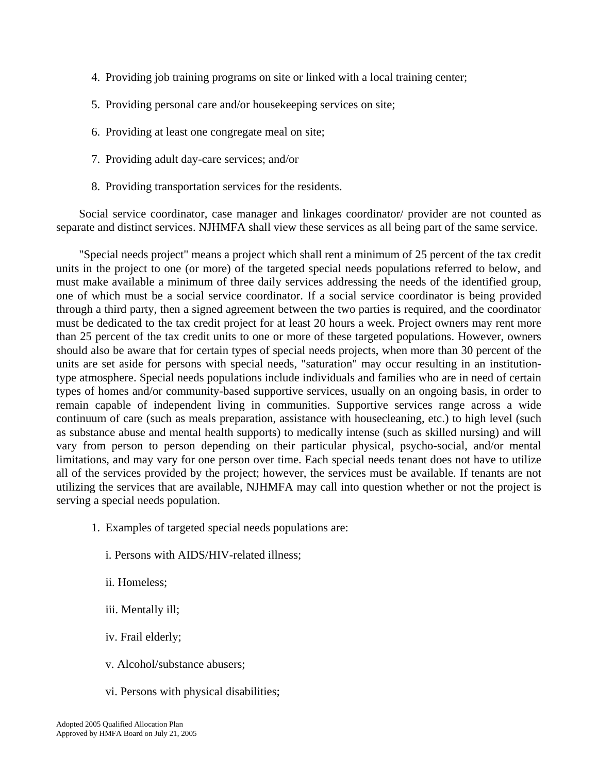- 4. Providing job training programs on site or linked with a local training center;
- 5. Providing personal care and/or housekeeping services on site;
- 6. Providing at least one congregate meal on site;
- 7. Providing adult day-care services; and/or
- 8. Providing transportation services for the residents.

 Social service coordinator, case manager and linkages coordinator/ provider are not counted as separate and distinct services. NJHMFA shall view these services as all being part of the same service.

 "Special needs project" means a project which shall rent a minimum of 25 percent of the tax credit units in the project to one (or more) of the targeted special needs populations referred to below, and must make available a minimum of three daily services addressing the needs of the identified group, one of which must be a social service coordinator. If a social service coordinator is being provided through a third party, then a signed agreement between the two parties is required, and the coordinator must be dedicated to the tax credit project for at least 20 hours a week. Project owners may rent more than 25 percent of the tax credit units to one or more of these targeted populations. However, owners should also be aware that for certain types of special needs projects, when more than 30 percent of the units are set aside for persons with special needs, "saturation" may occur resulting in an institutiontype atmosphere. Special needs populations include individuals and families who are in need of certain types of homes and/or community-based supportive services, usually on an ongoing basis, in order to remain capable of independent living in communities. Supportive services range across a wide continuum of care (such as meals preparation, assistance with housecleaning, etc.) to high level (such as substance abuse and mental health supports) to medically intense (such as skilled nursing) and will vary from person to person depending on their particular physical, psycho-social, and/or mental limitations, and may vary for one person over time. Each special needs tenant does not have to utilize all of the services provided by the project; however, the services must be available. If tenants are not utilizing the services that are available, NJHMFA may call into question whether or not the project is serving a special needs population.

- 1. Examples of targeted special needs populations are:
	- i. Persons with AIDS/HIV-related illness;
	- ii. Homeless;
	- iii. Mentally ill;
	- iv. Frail elderly;
	- v. Alcohol/substance abusers;
	- vi. Persons with physical disabilities;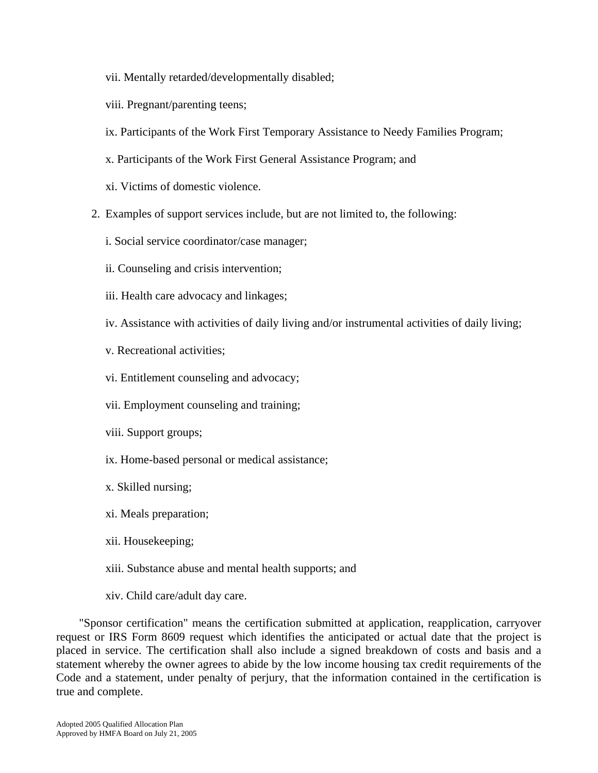- vii. Mentally retarded/developmentally disabled;
- viii. Pregnant/parenting teens;
- ix. Participants of the Work First Temporary Assistance to Needy Families Program;
- x. Participants of the Work First General Assistance Program; and
- xi. Victims of domestic violence.
- 2. Examples of support services include, but are not limited to, the following:
	- i. Social service coordinator/case manager;
	- ii. Counseling and crisis intervention;
	- iii. Health care advocacy and linkages;
	- iv. Assistance with activities of daily living and/or instrumental activities of daily living;
	- v. Recreational activities;
	- vi. Entitlement counseling and advocacy;
	- vii. Employment counseling and training;
	- viii. Support groups;
	- ix. Home-based personal or medical assistance;
	- x. Skilled nursing;
	- xi. Meals preparation;
	- xii. Housekeeping;
	- xiii. Substance abuse and mental health supports; and
	- xiv. Child care/adult day care.

 "Sponsor certification" means the certification submitted at application, reapplication, carryover request or IRS Form 8609 request which identifies the anticipated or actual date that the project is placed in service. The certification shall also include a signed breakdown of costs and basis and a statement whereby the owner agrees to abide by the low income housing tax credit requirements of the Code and a statement, under penalty of perjury, that the information contained in the certification is true and complete.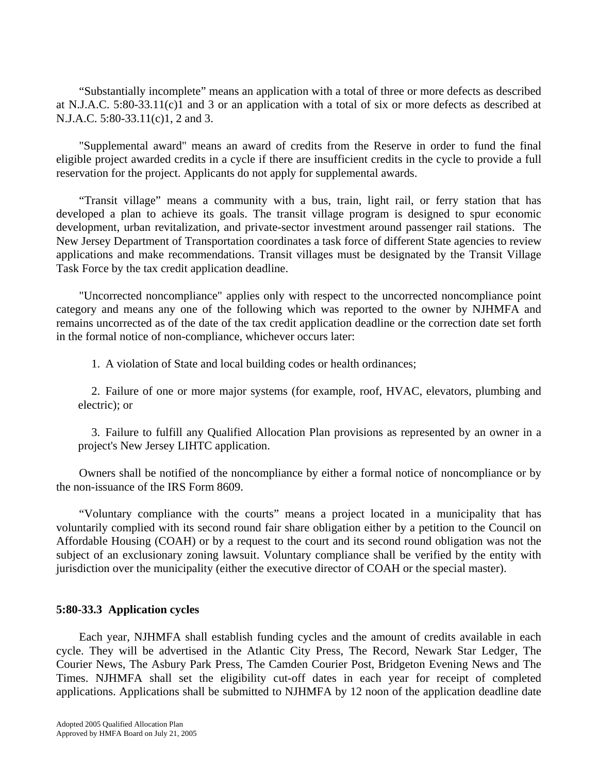"Substantially incomplete" means an application with a total of three or more defects as described at N.J.A.C. 5:80-33.11(c)1 and 3 or an application with a total of six or more defects as described at N.J.A.C. 5:80-33.11(c)1, 2 and 3.

 "Supplemental award" means an award of credits from the Reserve in order to fund the final eligible project awarded credits in a cycle if there are insufficient credits in the cycle to provide a full reservation for the project. Applicants do not apply for supplemental awards.

"Transit village" means a community with a bus, train, light rail, or ferry station that has developed a plan to achieve its goals. The transit village program is designed to spur economic development, urban revitalization, and private-sector investment around passenger rail stations. The New Jersey Department of Transportation coordinates a task force of different State agencies to review applications and make recommendations. Transit villages must be designated by the Transit Village Task Force by the tax credit application deadline.

 "Uncorrected noncompliance" applies only with respect to the uncorrected noncompliance point category and means any one of the following which was reported to the owner by NJHMFA and remains uncorrected as of the date of the tax credit application deadline or the correction date set forth in the formal notice of non-compliance, whichever occurs later:

1. A violation of State and local building codes or health ordinances;

 2. Failure of one or more major systems (for example, roof, HVAC, elevators, plumbing and electric); or

 3. Failure to fulfill any Qualified Allocation Plan provisions as represented by an owner in a project's New Jersey LIHTC application.

 Owners shall be notified of the noncompliance by either a formal notice of noncompliance or by the non-issuance of the IRS Form 8609.

 "Voluntary compliance with the courts" means a project located in a municipality that has voluntarily complied with its second round fair share obligation either by a petition to the Council on Affordable Housing (COAH) or by a request to the court and its second round obligation was not the subject of an exclusionary zoning lawsuit. Voluntary compliance shall be verified by the entity with jurisdiction over the municipality (either the executive director of COAH or the special master).

# **5:80-33.3 Application cycles**

 Each year, NJHMFA shall establish funding cycles and the amount of credits available in each cycle. They will be advertised in the Atlantic City Press, The Record, Newark Star Ledger, The Courier News, The Asbury Park Press, The Camden Courier Post, Bridgeton Evening News and The Times. NJHMFA shall set the eligibility cut-off dates in each year for receipt of completed applications. Applications shall be submitted to NJHMFA by 12 noon of the application deadline date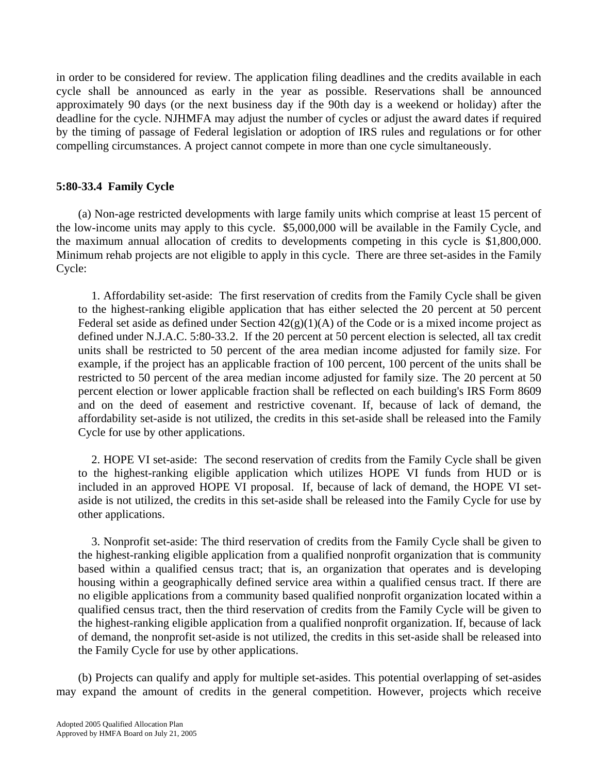in order to be considered for review. The application filing deadlines and the credits available in each cycle shall be announced as early in the year as possible. Reservations shall be announced approximately 90 days (or the next business day if the 90th day is a weekend or holiday) after the deadline for the cycle. NJHMFA may adjust the number of cycles or adjust the award dates if required by the timing of passage of Federal legislation or adoption of IRS rules and regulations or for other compelling circumstances. A project cannot compete in more than one cycle simultaneously.

# **5:80-33.4 Family Cycle**

 (a) Non-age restricted developments with large family units which comprise at least 15 percent of the low-income units may apply to this cycle. \$5,000,000 will be available in the Family Cycle, and the maximum annual allocation of credits to developments competing in this cycle is \$1,800,000. Minimum rehab projects are not eligible to apply in this cycle. There are three set-asides in the Family Cycle:

1. Affordability set-aside: The first reservation of credits from the Family Cycle shall be given to the highest-ranking eligible application that has either selected the 20 percent at 50 percent Federal set aside as defined under Section  $42(g)(1)(A)$  of the Code or is a mixed income project as defined under N.J.A.C. 5:80-33.2. If the 20 percent at 50 percent election is selected, all tax credit units shall be restricted to 50 percent of the area median income adjusted for family size. For example, if the project has an applicable fraction of 100 percent, 100 percent of the units shall be restricted to 50 percent of the area median income adjusted for family size. The 20 percent at 50 percent election or lower applicable fraction shall be reflected on each building's IRS Form 8609 and on the deed of easement and restrictive covenant. If, because of lack of demand, the affordability set-aside is not utilized, the credits in this set-aside shall be released into the Family Cycle for use by other applications.

2. HOPE VI set-aside: The second reservation of credits from the Family Cycle shall be given to the highest-ranking eligible application which utilizes HOPE VI funds from HUD or is included in an approved HOPE VI proposal. If, because of lack of demand, the HOPE VI setaside is not utilized, the credits in this set-aside shall be released into the Family Cycle for use by other applications.

3. Nonprofit set-aside: The third reservation of credits from the Family Cycle shall be given to the highest-ranking eligible application from a qualified nonprofit organization that is community based within a qualified census tract; that is, an organization that operates and is developing housing within a geographically defined service area within a qualified census tract. If there are no eligible applications from a community based qualified nonprofit organization located within a qualified census tract, then the third reservation of credits from the Family Cycle will be given to the highest-ranking eligible application from a qualified nonprofit organization. If, because of lack of demand, the nonprofit set-aside is not utilized, the credits in this set-aside shall be released into the Family Cycle for use by other applications.

 (b) Projects can qualify and apply for multiple set-asides. This potential overlapping of set-asides may expand the amount of credits in the general competition. However, projects which receive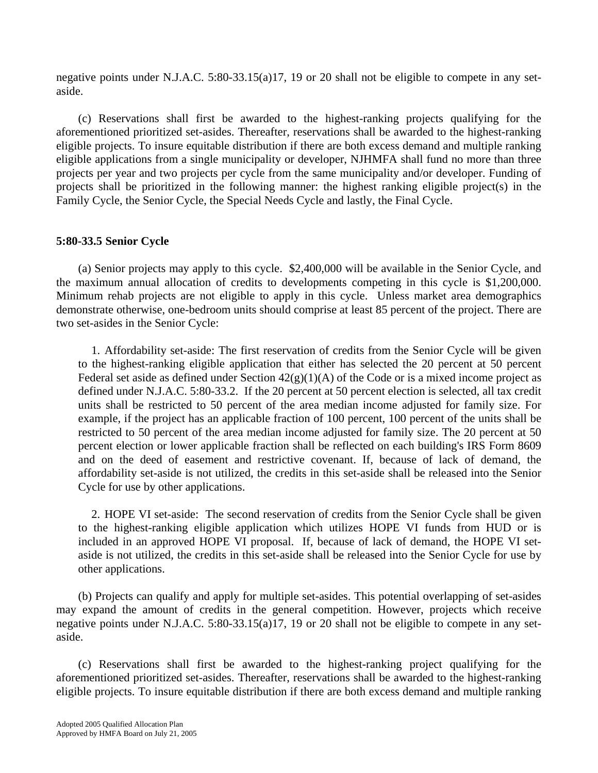negative points under N.J.A.C. 5:80-33.15(a)17, 19 or 20 shall not be eligible to compete in any setaside.

 (c) Reservations shall first be awarded to the highest-ranking projects qualifying for the aforementioned prioritized set-asides. Thereafter, reservations shall be awarded to the highest-ranking eligible projects. To insure equitable distribution if there are both excess demand and multiple ranking eligible applications from a single municipality or developer, NJHMFA shall fund no more than three projects per year and two projects per cycle from the same municipality and/or developer. Funding of projects shall be prioritized in the following manner: the highest ranking eligible project(s) in the Family Cycle, the Senior Cycle, the Special Needs Cycle and lastly, the Final Cycle.

# **5:80-33.5 Senior Cycle**

 (a) Senior projects may apply to this cycle. \$2,400,000 will be available in the Senior Cycle, and the maximum annual allocation of credits to developments competing in this cycle is \$1,200,000. Minimum rehab projects are not eligible to apply in this cycle. Unless market area demographics demonstrate otherwise, one-bedroom units should comprise at least 85 percent of the project. There are two set-asides in the Senior Cycle:

1. Affordability set-aside: The first reservation of credits from the Senior Cycle will be given to the highest-ranking eligible application that either has selected the 20 percent at 50 percent Federal set aside as defined under Section  $42(g)(1)(A)$  of the Code or is a mixed income project as defined under N.J.A.C. 5:80-33.2. If the 20 percent at 50 percent election is selected, all tax credit units shall be restricted to 50 percent of the area median income adjusted for family size. For example, if the project has an applicable fraction of 100 percent, 100 percent of the units shall be restricted to 50 percent of the area median income adjusted for family size. The 20 percent at 50 percent election or lower applicable fraction shall be reflected on each building's IRS Form 8609 and on the deed of easement and restrictive covenant. If, because of lack of demand, the affordability set-aside is not utilized, the credits in this set-aside shall be released into the Senior Cycle for use by other applications.

2. HOPE VI set-aside: The second reservation of credits from the Senior Cycle shall be given to the highest-ranking eligible application which utilizes HOPE VI funds from HUD or is included in an approved HOPE VI proposal. If, because of lack of demand, the HOPE VI setaside is not utilized, the credits in this set-aside shall be released into the Senior Cycle for use by other applications.

 (b) Projects can qualify and apply for multiple set-asides. This potential overlapping of set-asides may expand the amount of credits in the general competition. However, projects which receive negative points under N.J.A.C. 5:80-33.15(a)17, 19 or 20 shall not be eligible to compete in any setaside.

 (c) Reservations shall first be awarded to the highest-ranking project qualifying for the aforementioned prioritized set-asides. Thereafter, reservations shall be awarded to the highest-ranking eligible projects. To insure equitable distribution if there are both excess demand and multiple ranking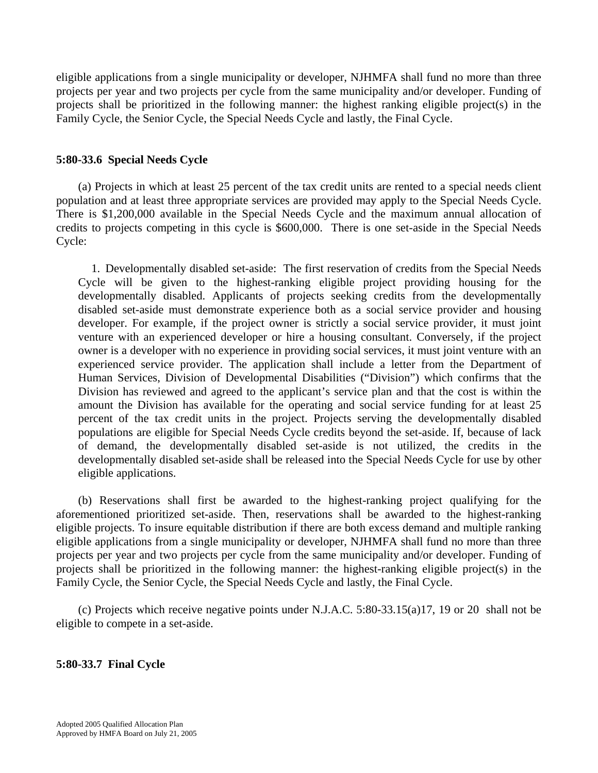eligible applications from a single municipality or developer, NJHMFA shall fund no more than three projects per year and two projects per cycle from the same municipality and/or developer. Funding of projects shall be prioritized in the following manner: the highest ranking eligible project(s) in the Family Cycle, the Senior Cycle, the Special Needs Cycle and lastly, the Final Cycle.

# **5:80-33.6 Special Needs Cycle**

 (a) Projects in which at least 25 percent of the tax credit units are rented to a special needs client population and at least three appropriate services are provided may apply to the Special Needs Cycle. There is \$1,200,000 available in the Special Needs Cycle and the maximum annual allocation of credits to projects competing in this cycle is \$600,000. There is one set-aside in the Special Needs Cycle:

1. Developmentally disabled set-aside:The first reservation of credits from the Special Needs Cycle will be given to the highest-ranking eligible project providing housing for the developmentally disabled. Applicants of projects seeking credits from the developmentally disabled set-aside must demonstrate experience both as a social service provider and housing developer. For example, if the project owner is strictly a social service provider, it must joint venture with an experienced developer or hire a housing consultant. Conversely, if the project owner is a developer with no experience in providing social services, it must joint venture with an experienced service provider. The application shall include a letter from the Department of Human Services, Division of Developmental Disabilities ("Division") which confirms that the Division has reviewed and agreed to the applicant's service plan and that the cost is within the amount the Division has available for the operating and social service funding for at least 25 percent of the tax credit units in the project. Projects serving the developmentally disabled populations are eligible for Special Needs Cycle credits beyond the set-aside. If, because of lack of demand, the developmentally disabled set-aside is not utilized, the credits in the developmentally disabled set-aside shall be released into the Special Needs Cycle for use by other eligible applications.

 (b) Reservations shall first be awarded to the highest-ranking project qualifying for the aforementioned prioritized set-aside. Then, reservations shall be awarded to the highest-ranking eligible projects. To insure equitable distribution if there are both excess demand and multiple ranking eligible applications from a single municipality or developer, NJHMFA shall fund no more than three projects per year and two projects per cycle from the same municipality and/or developer. Funding of projects shall be prioritized in the following manner: the highest-ranking eligible project(s) in the Family Cycle, the Senior Cycle, the Special Needs Cycle and lastly, the Final Cycle.

 (c) Projects which receive negative points under N.J.A.C. 5:80-33.15(a)17, 19 or 20 shall not be eligible to compete in a set-aside.

# **5:80-33.7 Final Cycle**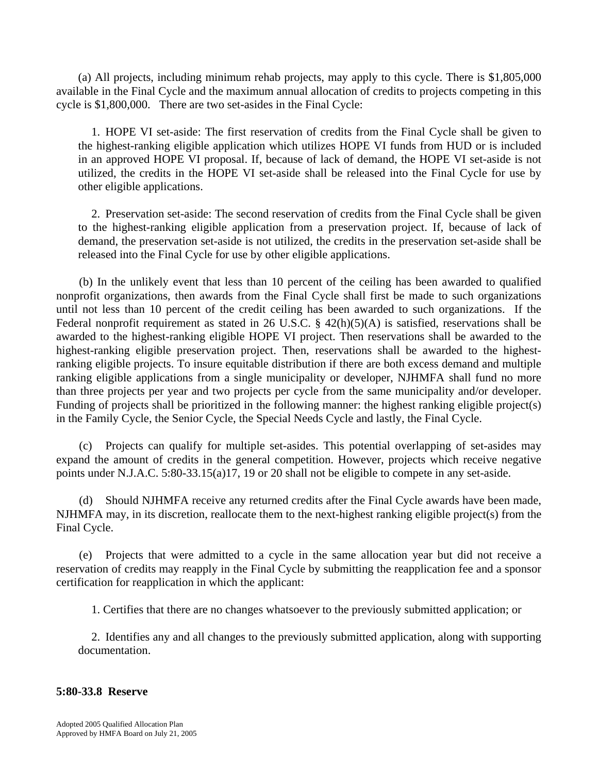(a) All projects, including minimum rehab projects, may apply to this cycle. There is \$1,805,000 available in the Final Cycle and the maximum annual allocation of credits to projects competing in this cycle is \$1,800,000. There are two set-asides in the Final Cycle:

1. HOPE VI set-aside: The first reservation of credits from the Final Cycle shall be given to the highest-ranking eligible application which utilizes HOPE VI funds from HUD or is included in an approved HOPE VI proposal. If, because of lack of demand, the HOPE VI set-aside is not utilized, the credits in the HOPE VI set-aside shall be released into the Final Cycle for use by other eligible applications.

2. Preservation set-aside: The second reservation of credits from the Final Cycle shall be given to the highest-ranking eligible application from a preservation project. If, because of lack of demand, the preservation set-aside is not utilized, the credits in the preservation set-aside shall be released into the Final Cycle for use by other eligible applications.

 (b) In the unlikely event that less than 10 percent of the ceiling has been awarded to qualified nonprofit organizations, then awards from the Final Cycle shall first be made to such organizations until not less than 10 percent of the credit ceiling has been awarded to such organizations. If the Federal nonprofit requirement as stated in 26 U.S.C. § 42(h)(5)(A) is satisfied, reservations shall be awarded to the highest-ranking eligible HOPE VI project. Then reservations shall be awarded to the highest-ranking eligible preservation project. Then, reservations shall be awarded to the highestranking eligible projects. To insure equitable distribution if there are both excess demand and multiple ranking eligible applications from a single municipality or developer, NJHMFA shall fund no more than three projects per year and two projects per cycle from the same municipality and/or developer. Funding of projects shall be prioritized in the following manner: the highest ranking eligible project(s) in the Family Cycle, the Senior Cycle, the Special Needs Cycle and lastly, the Final Cycle.

 (c) Projects can qualify for multiple set-asides. This potential overlapping of set-asides may expand the amount of credits in the general competition. However, projects which receive negative points under N.J.A.C. 5:80-33.15(a)17, 19 or 20 shall not be eligible to compete in any set-aside.

(d) Should NJHMFA receive any returned credits after the Final Cycle awards have been made, NJHMFA may, in its discretion, reallocate them to the next-highest ranking eligible project(s) from the Final Cycle.

(e) Projects that were admitted to a cycle in the same allocation year but did not receive a reservation of credits may reapply in the Final Cycle by submitting the reapplication fee and a sponsor certification for reapplication in which the applicant:

1. Certifies that there are no changes whatsoever to the previously submitted application; or

2. Identifies any and all changes to the previously submitted application, along with supporting documentation.

# **5:80-33.8 Reserve**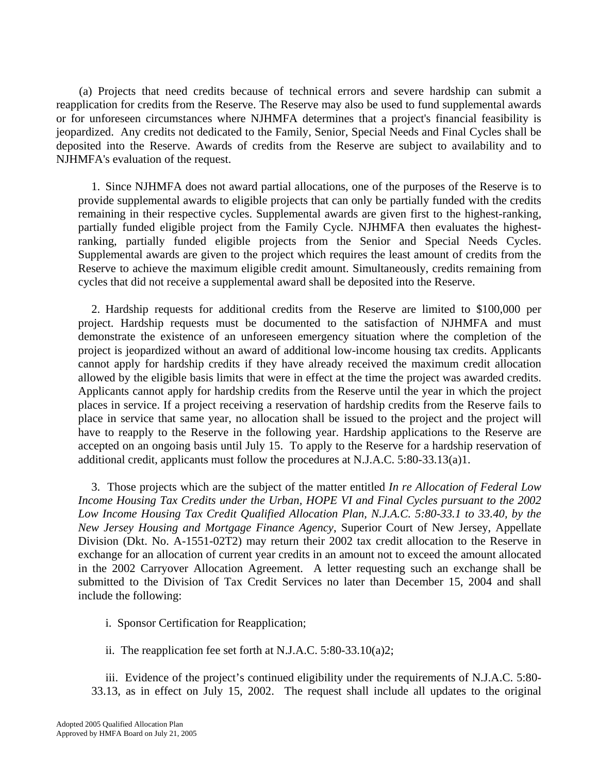(a) Projects that need credits because of technical errors and severe hardship can submit a reapplication for credits from the Reserve. The Reserve may also be used to fund supplemental awards or for unforeseen circumstances where NJHMFA determines that a project's financial feasibility is jeopardized. Any credits not dedicated to the Family, Senior, Special Needs and Final Cycles shall be deposited into the Reserve. Awards of credits from the Reserve are subject to availability and to NJHMFA's evaluation of the request.

1. Since NJHMFA does not award partial allocations, one of the purposes of the Reserve is to provide supplemental awards to eligible projects that can only be partially funded with the credits remaining in their respective cycles. Supplemental awards are given first to the highest-ranking, partially funded eligible project from the Family Cycle. NJHMFA then evaluates the highestranking, partially funded eligible projects from the Senior and Special Needs Cycles. Supplemental awards are given to the project which requires the least amount of credits from the Reserve to achieve the maximum eligible credit amount. Simultaneously, credits remaining from cycles that did not receive a supplemental award shall be deposited into the Reserve.

2. Hardship requests for additional credits from the Reserve are limited to \$100,000 per project. Hardship requests must be documented to the satisfaction of NJHMFA and must demonstrate the existence of an unforeseen emergency situation where the completion of the project is jeopardized without an award of additional low-income housing tax credits. Applicants cannot apply for hardship credits if they have already received the maximum credit allocation allowed by the eligible basis limits that were in effect at the time the project was awarded credits. Applicants cannot apply for hardship credits from the Reserve until the year in which the project places in service. If a project receiving a reservation of hardship credits from the Reserve fails to place in service that same year, no allocation shall be issued to the project and the project will have to reapply to the Reserve in the following year. Hardship applications to the Reserve are accepted on an ongoing basis until July 15. To apply to the Reserve for a hardship reservation of additional credit, applicants must follow the procedures at N.J.A.C. 5:80-33.13(a)1.

3. Those projects which are the subject of the matter entitled *In re Allocation of Federal Low Income Housing Tax Credits under the Urban, HOPE VI and Final Cycles pursuant to the 2002*  Low Income Housing Tax Credit Qualified Allocation Plan, N.J.A.C. 5:80-33.1 to 33.40, by the *New Jersey Housing and Mortgage Finance Agency*, Superior Court of New Jersey, Appellate Division (Dkt. No. A-1551-02T2) may return their 2002 tax credit allocation to the Reserve in exchange for an allocation of current year credits in an amount not to exceed the amount allocated in the 2002 Carryover Allocation Agreement. A letter requesting such an exchange shall be submitted to the Division of Tax Credit Services no later than December 15, 2004 and shall include the following:

i. Sponsor Certification for Reapplication;

ii. The reapplication fee set forth at N.J.A.C. 5:80-33.10(a)2;

 iii. Evidence of the project's continued eligibility under the requirements of N.J.A.C. 5:80- 33.13, as in effect on July 15, 2002. The request shall include all updates to the original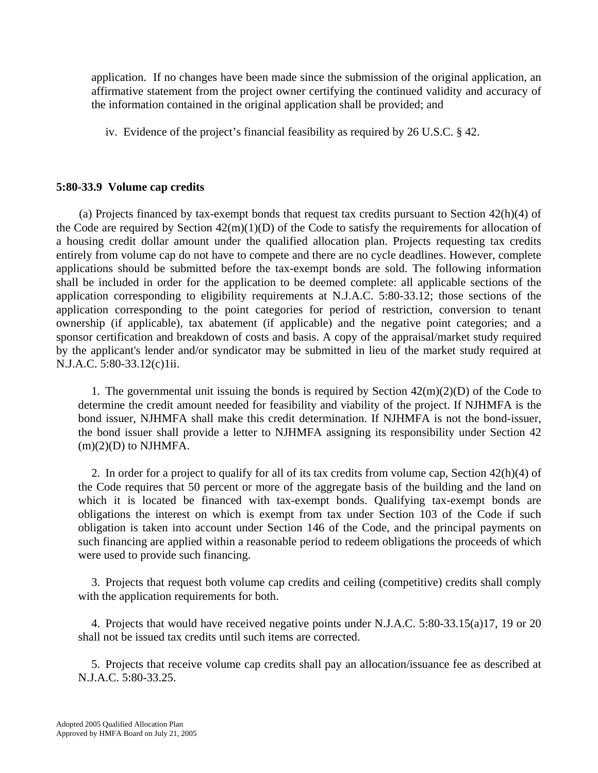application. If no changes have been made since the submission of the original application, an affirmative statement from the project owner certifying the continued validity and accuracy of the information contained in the original application shall be provided; and

iv. Evidence of the project's financial feasibility as required by 26 U.S.C. § 42.

# **5:80-33.9 Volume cap credits**

 (a) Projects financed by tax-exempt bonds that request tax credits pursuant to Section 42(h)(4) of the Code are required by Section  $42(m)(1)(D)$  of the Code to satisfy the requirements for allocation of a housing credit dollar amount under the qualified allocation plan. Projects requesting tax credits entirely from volume cap do not have to compete and there are no cycle deadlines. However, complete applications should be submitted before the tax-exempt bonds are sold. The following information shall be included in order for the application to be deemed complete: all applicable sections of the application corresponding to eligibility requirements at N.J.A.C. 5:80-33.12; those sections of the application corresponding to the point categories for period of restriction, conversion to tenant ownership (if applicable), tax abatement (if applicable) and the negative point categories; and a sponsor certification and breakdown of costs and basis. A copy of the appraisal/market study required by the applicant's lender and/or syndicator may be submitted in lieu of the market study required at N.J.A.C. 5:80-33.12(c)1ii.

1. The governmental unit issuing the bonds is required by Section  $42(m)(2)(D)$  of the Code to determine the credit amount needed for feasibility and viability of the project. If NJHMFA is the bond issuer, NJHMFA shall make this credit determination. If NJHMFA is not the bond-issuer, the bond issuer shall provide a letter to NJHMFA assigning its responsibility under Section 42  $(m)(2)(D)$  to NJHMFA.

2. In order for a project to qualify for all of its tax credits from volume cap, Section 42(h)(4) of the Code requires that 50 percent or more of the aggregate basis of the building and the land on which it is located be financed with tax-exempt bonds. Qualifying tax-exempt bonds are obligations the interest on which is exempt from tax under Section 103 of the Code if such obligation is taken into account under Section 146 of the Code, and the principal payments on such financing are applied within a reasonable period to redeem obligations the proceeds of which were used to provide such financing.

3. Projects that request both volume cap credits and ceiling (competitive) credits shall comply with the application requirements for both.

4. Projects that would have received negative points under N.J.A.C. 5:80-33.15(a)17, 19 or 20 shall not be issued tax credits until such items are corrected.

5. Projects that receive volume cap credits shall pay an allocation/issuance fee as described at N.J.A.C. 5:80-33.25.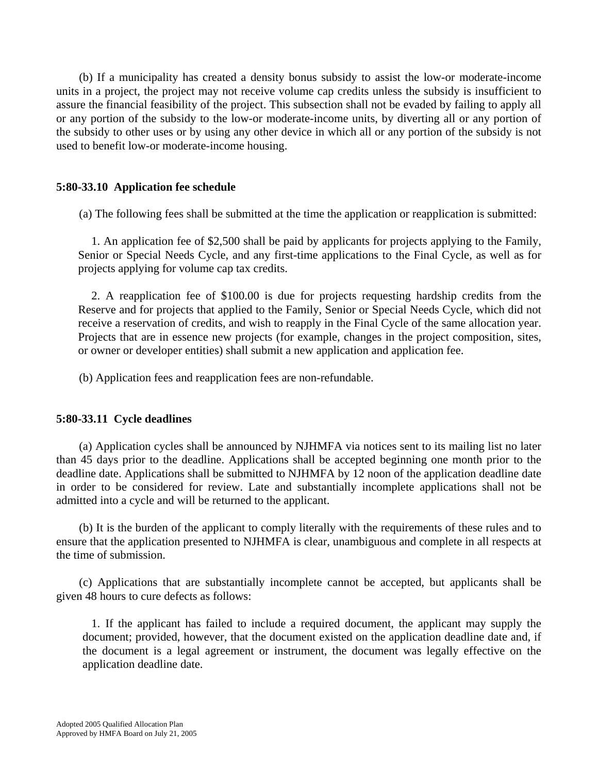(b) If a municipality has created a density bonus subsidy to assist the low-or moderate-income units in a project, the project may not receive volume cap credits unless the subsidy is insufficient to assure the financial feasibility of the project. This subsection shall not be evaded by failing to apply all or any portion of the subsidy to the low-or moderate-income units, by diverting all or any portion of the subsidy to other uses or by using any other device in which all or any portion of the subsidy is not used to benefit low-or moderate-income housing.

# **5:80-33.10 Application fee schedule**

(a) The following fees shall be submitted at the time the application or reapplication is submitted:

1. An application fee of \$2,500 shall be paid by applicants for projects applying to the Family, Senior or Special Needs Cycle, and any first-time applications to the Final Cycle, as well as for projects applying for volume cap tax credits.

2. A reapplication fee of \$100.00 is due for projects requesting hardship credits from the Reserve and for projects that applied to the Family, Senior or Special Needs Cycle, which did not receive a reservation of credits, and wish to reapply in the Final Cycle of the same allocation year. Projects that are in essence new projects (for example, changes in the project composition, sites, or owner or developer entities) shall submit a new application and application fee.

(b) Application fees and reapplication fees are non-refundable.

# **5:80-33.11 Cycle deadlines**

 (a) Application cycles shall be announced by NJHMFA via notices sent to its mailing list no later than 45 days prior to the deadline. Applications shall be accepted beginning one month prior to the deadline date. Applications shall be submitted to NJHMFA by 12 noon of the application deadline date in order to be considered for review. Late and substantially incomplete applications shall not be admitted into a cycle and will be returned to the applicant.

 (b) It is the burden of the applicant to comply literally with the requirements of these rules and to ensure that the application presented to NJHMFA is clear, unambiguous and complete in all respects at the time of submission.

 (c) Applications that are substantially incomplete cannot be accepted, but applicants shall be given 48 hours to cure defects as follows:

1. If the applicant has failed to include a required document, the applicant may supply the document; provided, however, that the document existed on the application deadline date and, if the document is a legal agreement or instrument, the document was legally effective on the application deadline date.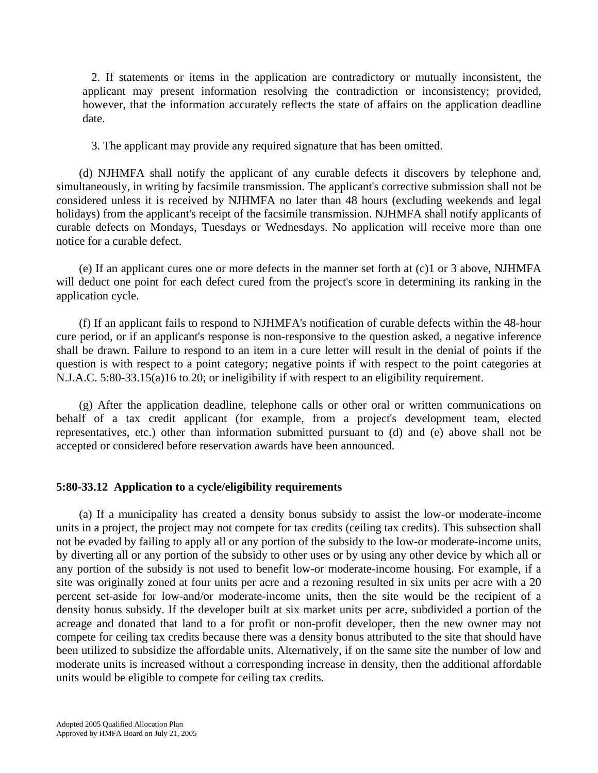2. If statements or items in the application are contradictory or mutually inconsistent, the applicant may present information resolving the contradiction or inconsistency; provided, however, that the information accurately reflects the state of affairs on the application deadline date.

3. The applicant may provide any required signature that has been omitted.

 (d) NJHMFA shall notify the applicant of any curable defects it discovers by telephone and, simultaneously, in writing by facsimile transmission. The applicant's corrective submission shall not be considered unless it is received by NJHMFA no later than 48 hours (excluding weekends and legal holidays) from the applicant's receipt of the facsimile transmission. NJHMFA shall notify applicants of curable defects on Mondays, Tuesdays or Wednesdays. No application will receive more than one notice for a curable defect.

 (e) If an applicant cures one or more defects in the manner set forth at (c)1 or 3 above, NJHMFA will deduct one point for each defect cured from the project's score in determining its ranking in the application cycle.

 (f) If an applicant fails to respond to NJHMFA's notification of curable defects within the 48-hour cure period, or if an applicant's response is non-responsive to the question asked, a negative inference shall be drawn. Failure to respond to an item in a cure letter will result in the denial of points if the question is with respect to a point category; negative points if with respect to the point categories at N.J.A.C. 5:80-33.15(a)16 to 20; or ineligibility if with respect to an eligibility requirement.

 (g) After the application deadline, telephone calls or other oral or written communications on behalf of a tax credit applicant (for example, from a project's development team, elected representatives, etc.) other than information submitted pursuant to (d) and (e) above shall not be accepted or considered before reservation awards have been announced.

### **5:80-33.12 Application to a cycle/eligibility requirements**

 (a) If a municipality has created a density bonus subsidy to assist the low-or moderate-income units in a project, the project may not compete for tax credits (ceiling tax credits). This subsection shall not be evaded by failing to apply all or any portion of the subsidy to the low-or moderate-income units, by diverting all or any portion of the subsidy to other uses or by using any other device by which all or any portion of the subsidy is not used to benefit low-or moderate-income housing. For example, if a site was originally zoned at four units per acre and a rezoning resulted in six units per acre with a 20 percent set-aside for low-and/or moderate-income units, then the site would be the recipient of a density bonus subsidy. If the developer built at six market units per acre, subdivided a portion of the acreage and donated that land to a for profit or non-profit developer, then the new owner may not compete for ceiling tax credits because there was a density bonus attributed to the site that should have been utilized to subsidize the affordable units. Alternatively, if on the same site the number of low and moderate units is increased without a corresponding increase in density, then the additional affordable units would be eligible to compete for ceiling tax credits.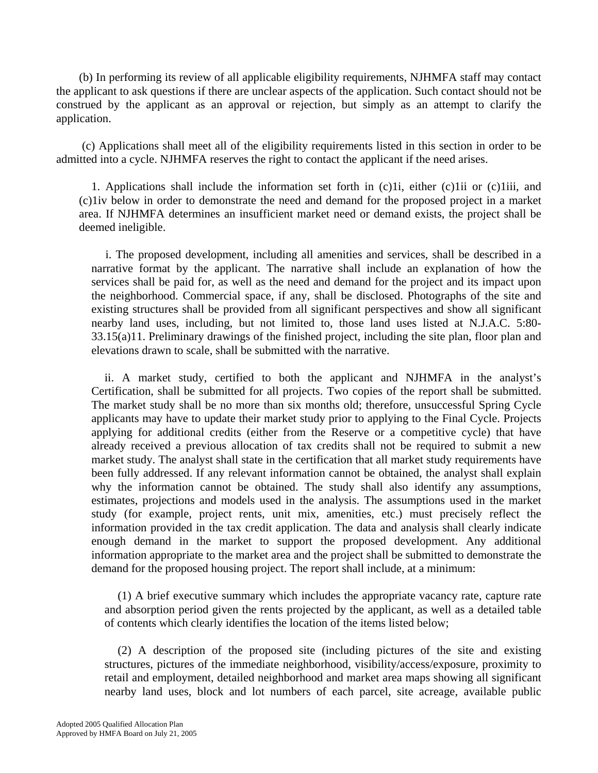(b) In performing its review of all applicable eligibility requirements, NJHMFA staff may contact the applicant to ask questions if there are unclear aspects of the application. Such contact should not be construed by the applicant as an approval or rejection, but simply as an attempt to clarify the application.

 (c) Applications shall meet all of the eligibility requirements listed in this section in order to be admitted into a cycle. NJHMFA reserves the right to contact the applicant if the need arises.

1. Applications shall include the information set forth in (c)1i, either (c)1ii or (c)1iii, and (c)1iv below in order to demonstrate the need and demand for the proposed project in a market area. If NJHMFA determines an insufficient market need or demand exists, the project shall be deemed ineligible.

 i. The proposed development, including all amenities and services, shall be described in a narrative format by the applicant. The narrative shall include an explanation of how the services shall be paid for, as well as the need and demand for the project and its impact upon the neighborhood. Commercial space, if any, shall be disclosed. Photographs of the site and existing structures shall be provided from all significant perspectives and show all significant nearby land uses, including, but not limited to, those land uses listed at N.J.A.C. 5:80- 33.15(a)11. Preliminary drawings of the finished project, including the site plan, floor plan and elevations drawn to scale, shall be submitted with the narrative.

ii. A market study, certified to both the applicant and NJHMFA in the analyst's Certification, shall be submitted for all projects. Two copies of the report shall be submitted. The market study shall be no more than six months old; therefore, unsuccessful Spring Cycle applicants may have to update their market study prior to applying to the Final Cycle. Projects applying for additional credits (either from the Reserve or a competitive cycle) that have already received a previous allocation of tax credits shall not be required to submit a new market study. The analyst shall state in the certification that all market study requirements have been fully addressed. If any relevant information cannot be obtained, the analyst shall explain why the information cannot be obtained. The study shall also identify any assumptions, estimates, projections and models used in the analysis. The assumptions used in the market study (for example, project rents, unit mix, amenities, etc.) must precisely reflect the information provided in the tax credit application. The data and analysis shall clearly indicate enough demand in the market to support the proposed development. Any additional information appropriate to the market area and the project shall be submitted to demonstrate the demand for the proposed housing project. The report shall include, at a minimum:

(1) A brief executive summary which includes the appropriate vacancy rate, capture rate and absorption period given the rents projected by the applicant, as well as a detailed table of contents which clearly identifies the location of the items listed below;

(2) A description of the proposed site (including pictures of the site and existing structures, pictures of the immediate neighborhood, visibility/access/exposure, proximity to retail and employment, detailed neighborhood and market area maps showing all significant nearby land uses, block and lot numbers of each parcel, site acreage, available public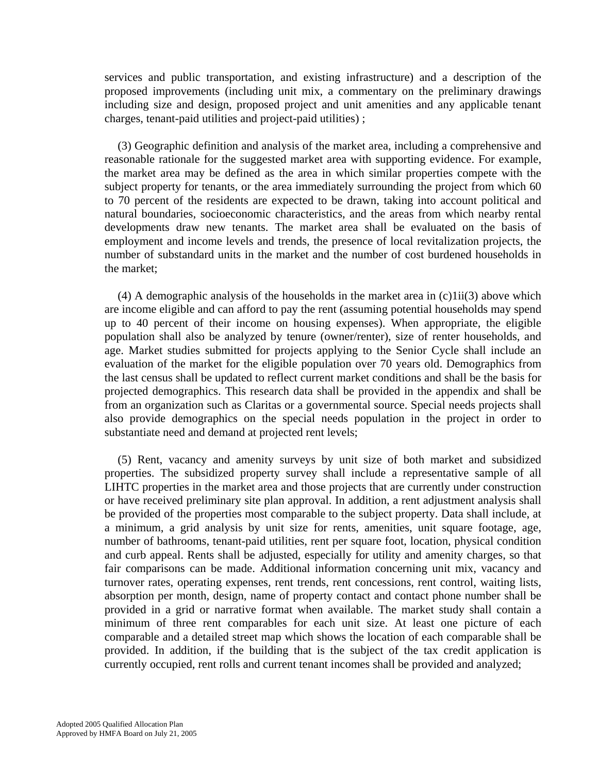services and public transportation, and existing infrastructure) and a description of the proposed improvements (including unit mix, a commentary on the preliminary drawings including size and design, proposed project and unit amenities and any applicable tenant charges, tenant-paid utilities and project-paid utilities) ;

(3) Geographic definition and analysis of the market area, including a comprehensive and reasonable rationale for the suggested market area with supporting evidence. For example, the market area may be defined as the area in which similar properties compete with the subject property for tenants, or the area immediately surrounding the project from which 60 to 70 percent of the residents are expected to be drawn, taking into account political and natural boundaries, socioeconomic characteristics, and the areas from which nearby rental developments draw new tenants. The market area shall be evaluated on the basis of employment and income levels and trends, the presence of local revitalization projects, the number of substandard units in the market and the number of cost burdened households in the market;

(4) A demographic analysis of the households in the market area in  $(c)1ii(3)$  above which are income eligible and can afford to pay the rent (assuming potential households may spend up to 40 percent of their income on housing expenses). When appropriate, the eligible population shall also be analyzed by tenure (owner/renter), size of renter households, and age. Market studies submitted for projects applying to the Senior Cycle shall include an evaluation of the market for the eligible population over 70 years old. Demographics from the last census shall be updated to reflect current market conditions and shall be the basis for projected demographics. This research data shall be provided in the appendix and shall be from an organization such as Claritas or a governmental source. Special needs projects shall also provide demographics on the special needs population in the project in order to substantiate need and demand at projected rent levels;

(5) Rent, vacancy and amenity surveys by unit size of both market and subsidized properties. The subsidized property survey shall include a representative sample of all LIHTC properties in the market area and those projects that are currently under construction or have received preliminary site plan approval. In addition, a rent adjustment analysis shall be provided of the properties most comparable to the subject property. Data shall include, at a minimum, a grid analysis by unit size for rents, amenities, unit square footage, age, number of bathrooms, tenant-paid utilities, rent per square foot, location, physical condition and curb appeal. Rents shall be adjusted, especially for utility and amenity charges, so that fair comparisons can be made. Additional information concerning unit mix, vacancy and turnover rates, operating expenses, rent trends, rent concessions, rent control, waiting lists, absorption per month, design, name of property contact and contact phone number shall be provided in a grid or narrative format when available. The market study shall contain a minimum of three rent comparables for each unit size. At least one picture of each comparable and a detailed street map which shows the location of each comparable shall be provided. In addition, if the building that is the subject of the tax credit application is currently occupied, rent rolls and current tenant incomes shall be provided and analyzed;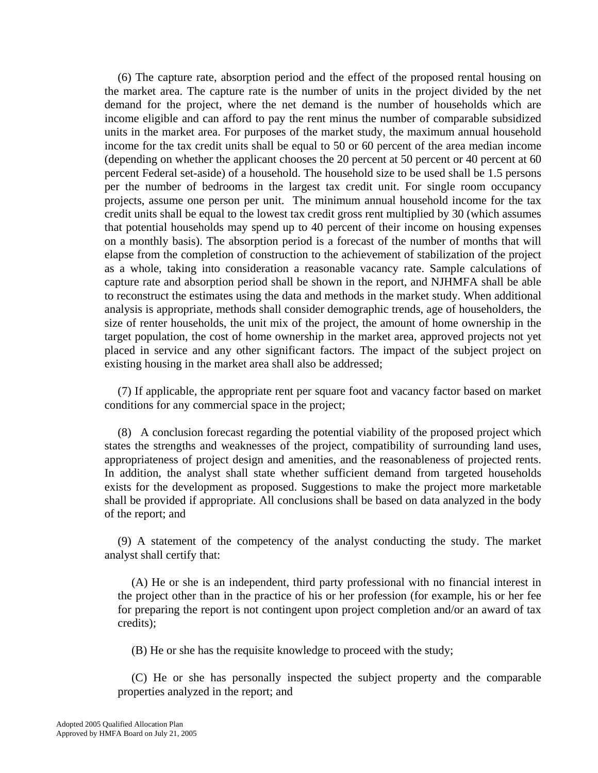(6) The capture rate, absorption period and the effect of the proposed rental housing on the market area. The capture rate is the number of units in the project divided by the net demand for the project, where the net demand is the number of households which are income eligible and can afford to pay the rent minus the number of comparable subsidized units in the market area. For purposes of the market study, the maximum annual household income for the tax credit units shall be equal to 50 or 60 percent of the area median income (depending on whether the applicant chooses the 20 percent at 50 percent or 40 percent at 60 percent Federal set-aside) of a household. The household size to be used shall be 1.5 persons per the number of bedrooms in the largest tax credit unit. For single room occupancy projects, assume one person per unit. The minimum annual household income for the tax credit units shall be equal to the lowest tax credit gross rent multiplied by 30 (which assumes that potential households may spend up to 40 percent of their income on housing expenses on a monthly basis). The absorption period is a forecast of the number of months that will elapse from the completion of construction to the achievement of stabilization of the project as a whole, taking into consideration a reasonable vacancy rate. Sample calculations of capture rate and absorption period shall be shown in the report, and NJHMFA shall be able to reconstruct the estimates using the data and methods in the market study. When additional analysis is appropriate, methods shall consider demographic trends, age of householders, the size of renter households, the unit mix of the project, the amount of home ownership in the target population, the cost of home ownership in the market area, approved projects not yet placed in service and any other significant factors. The impact of the subject project on existing housing in the market area shall also be addressed;

(7) If applicable, the appropriate rent per square foot and vacancy factor based on market conditions for any commercial space in the project;

(8) A conclusion forecast regarding the potential viability of the proposed project which states the strengths and weaknesses of the project, compatibility of surrounding land uses, appropriateness of project design and amenities, and the reasonableness of projected rents. In addition, the analyst shall state whether sufficient demand from targeted households exists for the development as proposed. Suggestions to make the project more marketable shall be provided if appropriate. All conclusions shall be based on data analyzed in the body of the report; and

(9) A statement of the competency of the analyst conducting the study. The market analyst shall certify that:

(A) He or she is an independent, third party professional with no financial interest in the project other than in the practice of his or her profession (for example, his or her fee for preparing the report is not contingent upon project completion and/or an award of tax credits);

(B) He or she has the requisite knowledge to proceed with the study;

(C) He or she has personally inspected the subject property and the comparable properties analyzed in the report; and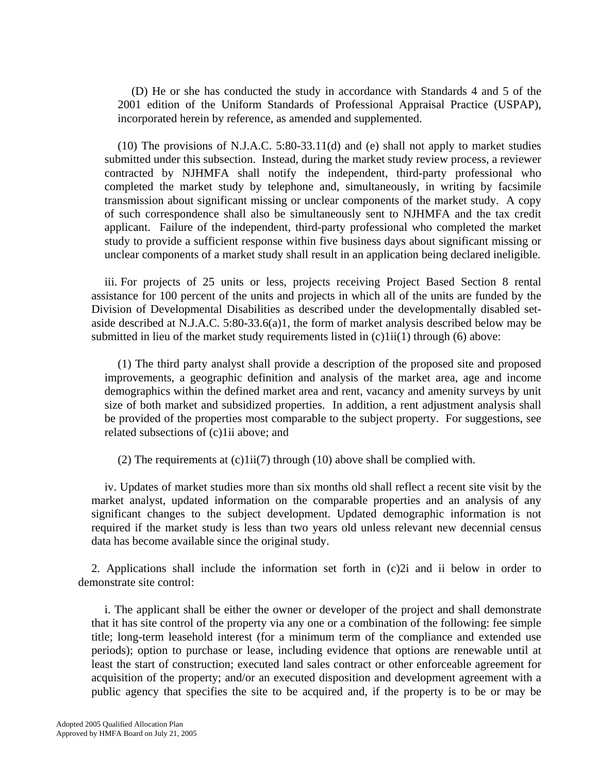(D) He or she has conducted the study in accordance with Standards 4 and 5 of the 2001 edition of the Uniform Standards of Professional Appraisal Practice (USPAP), incorporated herein by reference, as amended and supplemented.

(10) The provisions of N.J.A.C. 5:80-33.11(d) and (e) shall not apply to market studies submitted under this subsection. Instead, during the market study review process, a reviewer contracted by NJHMFA shall notify the independent, third-party professional who completed the market study by telephone and, simultaneously, in writing by facsimile transmission about significant missing or unclear components of the market study. A copy of such correspondence shall also be simultaneously sent to NJHMFA and the tax credit applicant. Failure of the independent, third-party professional who completed the market study to provide a sufficient response within five business days about significant missing or unclear components of a market study shall result in an application being declared ineligible.

iii. For projects of 25 units or less, projects receiving Project Based Section 8 rental assistance for 100 percent of the units and projects in which all of the units are funded by the Division of Developmental Disabilities as described under the developmentally disabled setaside described at N.J.A.C. 5:80-33.6(a)1, the form of market analysis described below may be submitted in lieu of the market study requirements listed in  $(c)1ii(1)$  through  $(6)$  above:

(1) The third party analyst shall provide a description of the proposed site and proposed improvements, a geographic definition and analysis of the market area, age and income demographics within the defined market area and rent, vacancy and amenity surveys by unit size of both market and subsidized properties. In addition, a rent adjustment analysis shall be provided of the properties most comparable to the subject property. For suggestions, see related subsections of (c)1ii above; and

(2) The requirements at  $(c)1ii(7)$  through (10) above shall be complied with.

iv. Updates of market studies more than six months old shall reflect a recent site visit by the market analyst, updated information on the comparable properties and an analysis of any significant changes to the subject development. Updated demographic information is not required if the market study is less than two years old unless relevant new decennial census data has become available since the original study.

2. Applications shall include the information set forth in (c)2i and ii below in order to demonstrate site control:

i. The applicant shall be either the owner or developer of the project and shall demonstrate that it has site control of the property via any one or a combination of the following: fee simple title; long-term leasehold interest (for a minimum term of the compliance and extended use periods); option to purchase or lease, including evidence that options are renewable until at least the start of construction; executed land sales contract or other enforceable agreement for acquisition of the property; and/or an executed disposition and development agreement with a public agency that specifies the site to be acquired and, if the property is to be or may be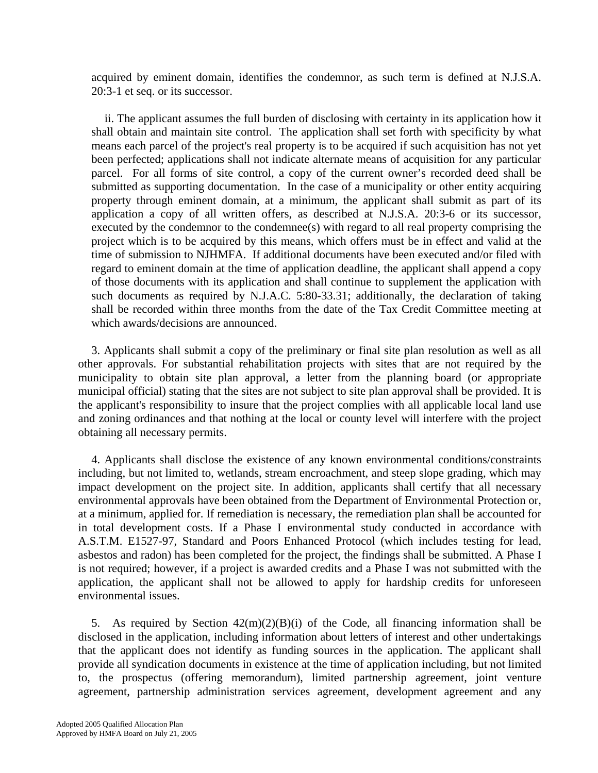acquired by eminent domain, identifies the condemnor, as such term is defined at N.J.S.A. 20:3-1 et seq. or its successor.

ii. The applicant assumes the full burden of disclosing with certainty in its application how it shall obtain and maintain site control. The application shall set forth with specificity by what means each parcel of the project's real property is to be acquired if such acquisition has not yet been perfected; applications shall not indicate alternate means of acquisition for any particular parcel. For all forms of site control, a copy of the current owner's recorded deed shall be submitted as supporting documentation. In the case of a municipality or other entity acquiring property through eminent domain, at a minimum, the applicant shall submit as part of its application a copy of all written offers, as described at N.J.S.A. 20:3-6 or its successor, executed by the condemnor to the condemnee(s) with regard to all real property comprising the project which is to be acquired by this means, which offers must be in effect and valid at the time of submission to NJHMFA. If additional documents have been executed and/or filed with regard to eminent domain at the time of application deadline, the applicant shall append a copy of those documents with its application and shall continue to supplement the application with such documents as required by N.J.A.C. 5:80-33.31; additionally, the declaration of taking shall be recorded within three months from the date of the Tax Credit Committee meeting at which awards/decisions are announced.

3. Applicants shall submit a copy of the preliminary or final site plan resolution as well as all other approvals. For substantial rehabilitation projects with sites that are not required by the municipality to obtain site plan approval, a letter from the planning board (or appropriate municipal official) stating that the sites are not subject to site plan approval shall be provided. It is the applicant's responsibility to insure that the project complies with all applicable local land use and zoning ordinances and that nothing at the local or county level will interfere with the project obtaining all necessary permits.

4. Applicants shall disclose the existence of any known environmental conditions/constraints including, but not limited to, wetlands, stream encroachment, and steep slope grading, which may impact development on the project site. In addition, applicants shall certify that all necessary environmental approvals have been obtained from the Department of Environmental Protection or, at a minimum, applied for. If remediation is necessary, the remediation plan shall be accounted for in total development costs. If a Phase I environmental study conducted in accordance with A.S.T.M. E1527-97, Standard and Poors Enhanced Protocol (which includes testing for lead, asbestos and radon) has been completed for the project, the findings shall be submitted. A Phase I is not required; however, if a project is awarded credits and a Phase I was not submitted with the application, the applicant shall not be allowed to apply for hardship credits for unforeseen environmental issues.

5. As required by Section  $42(m)(2)(B)(i)$  of the Code, all financing information shall be disclosed in the application, including information about letters of interest and other undertakings that the applicant does not identify as funding sources in the application. The applicant shall provide all syndication documents in existence at the time of application including, but not limited to, the prospectus (offering memorandum), limited partnership agreement, joint venture agreement, partnership administration services agreement, development agreement and any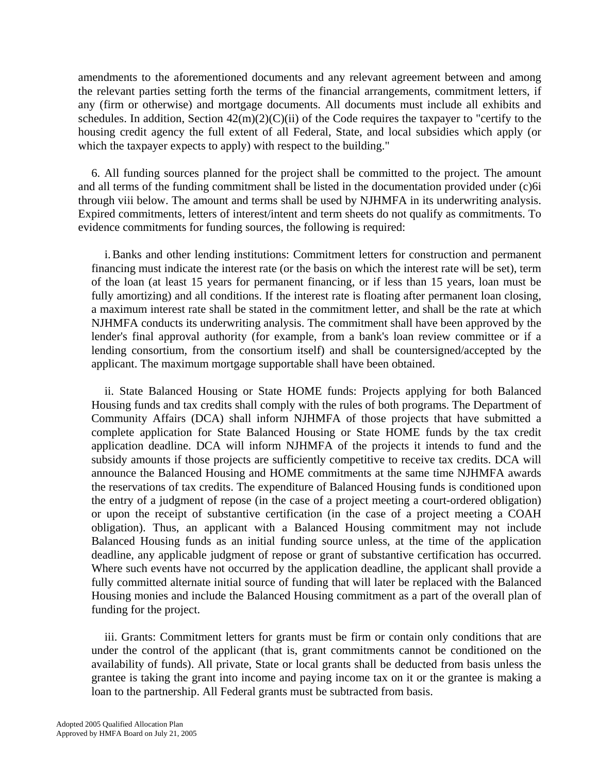amendments to the aforementioned documents and any relevant agreement between and among the relevant parties setting forth the terms of the financial arrangements, commitment letters, if any (firm or otherwise) and mortgage documents. All documents must include all exhibits and schedules. In addition, Section  $42(m)(2)(C)(ii)$  of the Code requires the taxpayer to "certify to the housing credit agency the full extent of all Federal, State, and local subsidies which apply (or which the taxpayer expects to apply) with respect to the building."

6. All funding sources planned for the project shall be committed to the project. The amount and all terms of the funding commitment shall be listed in the documentation provided under (c)6i through viii below. The amount and terms shall be used by NJHMFA in its underwriting analysis. Expired commitments, letters of interest/intent and term sheets do not qualify as commitments. To evidence commitments for funding sources, the following is required:

i. Banks and other lending institutions: Commitment letters for construction and permanent financing must indicate the interest rate (or the basis on which the interest rate will be set), term of the loan (at least 15 years for permanent financing, or if less than 15 years, loan must be fully amortizing) and all conditions. If the interest rate is floating after permanent loan closing, a maximum interest rate shall be stated in the commitment letter, and shall be the rate at which NJHMFA conducts its underwriting analysis. The commitment shall have been approved by the lender's final approval authority (for example, from a bank's loan review committee or if a lending consortium, from the consortium itself) and shall be countersigned/accepted by the applicant. The maximum mortgage supportable shall have been obtained.

ii. State Balanced Housing or State HOME funds: Projects applying for both Balanced Housing funds and tax credits shall comply with the rules of both programs. The Department of Community Affairs (DCA) shall inform NJHMFA of those projects that have submitted a complete application for State Balanced Housing or State HOME funds by the tax credit application deadline. DCA will inform NJHMFA of the projects it intends to fund and the subsidy amounts if those projects are sufficiently competitive to receive tax credits. DCA will announce the Balanced Housing and HOME commitments at the same time NJHMFA awards the reservations of tax credits. The expenditure of Balanced Housing funds is conditioned upon the entry of a judgment of repose (in the case of a project meeting a court-ordered obligation) or upon the receipt of substantive certification (in the case of a project meeting a COAH obligation). Thus, an applicant with a Balanced Housing commitment may not include Balanced Housing funds as an initial funding source unless, at the time of the application deadline, any applicable judgment of repose or grant of substantive certification has occurred. Where such events have not occurred by the application deadline, the applicant shall provide a fully committed alternate initial source of funding that will later be replaced with the Balanced Housing monies and include the Balanced Housing commitment as a part of the overall plan of funding for the project.

iii. Grants: Commitment letters for grants must be firm or contain only conditions that are under the control of the applicant (that is, grant commitments cannot be conditioned on the availability of funds). All private, State or local grants shall be deducted from basis unless the grantee is taking the grant into income and paying income tax on it or the grantee is making a loan to the partnership. All Federal grants must be subtracted from basis.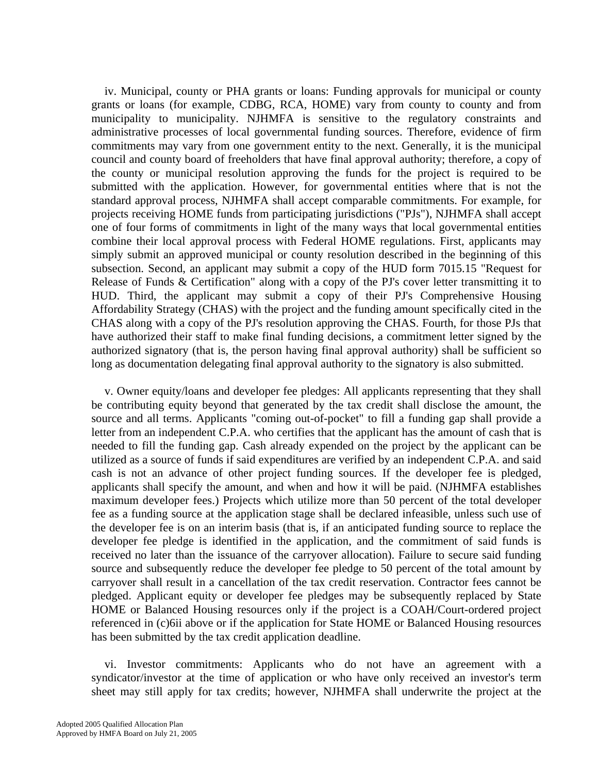iv. Municipal, county or PHA grants or loans: Funding approvals for municipal or county grants or loans (for example, CDBG, RCA, HOME) vary from county to county and from municipality to municipality. NJHMFA is sensitive to the regulatory constraints and administrative processes of local governmental funding sources. Therefore, evidence of firm commitments may vary from one government entity to the next. Generally, it is the municipal council and county board of freeholders that have final approval authority; therefore, a copy of the county or municipal resolution approving the funds for the project is required to be submitted with the application. However, for governmental entities where that is not the standard approval process, NJHMFA shall accept comparable commitments. For example, for projects receiving HOME funds from participating jurisdictions ("PJs"), NJHMFA shall accept one of four forms of commitments in light of the many ways that local governmental entities combine their local approval process with Federal HOME regulations. First, applicants may simply submit an approved municipal or county resolution described in the beginning of this subsection. Second, an applicant may submit a copy of the HUD form 7015.15 "Request for Release of Funds & Certification" along with a copy of the PJ's cover letter transmitting it to HUD. Third, the applicant may submit a copy of their PJ's Comprehensive Housing Affordability Strategy (CHAS) with the project and the funding amount specifically cited in the CHAS along with a copy of the PJ's resolution approving the CHAS. Fourth, for those PJs that have authorized their staff to make final funding decisions, a commitment letter signed by the authorized signatory (that is, the person having final approval authority) shall be sufficient so long as documentation delegating final approval authority to the signatory is also submitted.

v. Owner equity/loans and developer fee pledges: All applicants representing that they shall be contributing equity beyond that generated by the tax credit shall disclose the amount, the source and all terms. Applicants "coming out-of-pocket" to fill a funding gap shall provide a letter from an independent C.P.A. who certifies that the applicant has the amount of cash that is needed to fill the funding gap. Cash already expended on the project by the applicant can be utilized as a source of funds if said expenditures are verified by an independent C.P.A. and said cash is not an advance of other project funding sources. If the developer fee is pledged, applicants shall specify the amount, and when and how it will be paid. (NJHMFA establishes maximum developer fees.) Projects which utilize more than 50 percent of the total developer fee as a funding source at the application stage shall be declared infeasible, unless such use of the developer fee is on an interim basis (that is, if an anticipated funding source to replace the developer fee pledge is identified in the application, and the commitment of said funds is received no later than the issuance of the carryover allocation). Failure to secure said funding source and subsequently reduce the developer fee pledge to 50 percent of the total amount by carryover shall result in a cancellation of the tax credit reservation. Contractor fees cannot be pledged. Applicant equity or developer fee pledges may be subsequently replaced by State HOME or Balanced Housing resources only if the project is a COAH/Court-ordered project referenced in (c)6ii above or if the application for State HOME or Balanced Housing resources has been submitted by the tax credit application deadline.

vi. Investor commitments: Applicants who do not have an agreement with a syndicator/investor at the time of application or who have only received an investor's term sheet may still apply for tax credits; however, NJHMFA shall underwrite the project at the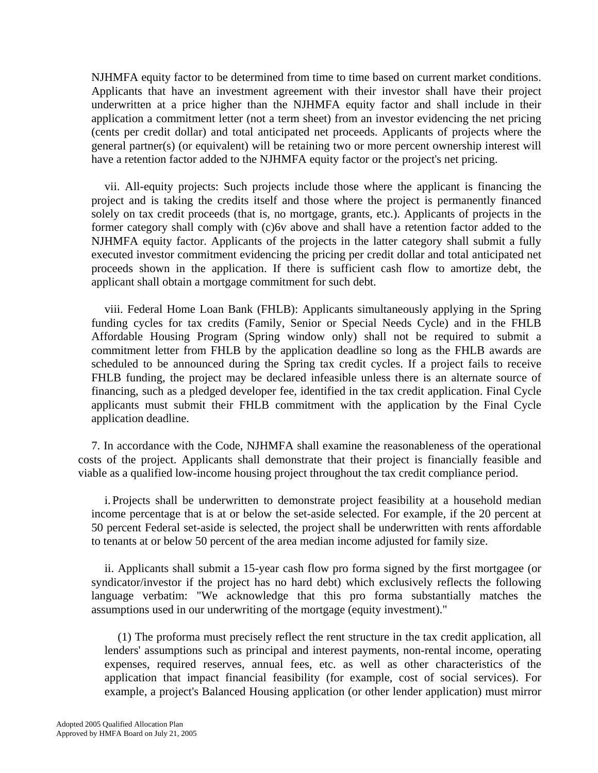NJHMFA equity factor to be determined from time to time based on current market conditions. Applicants that have an investment agreement with their investor shall have their project underwritten at a price higher than the NJHMFA equity factor and shall include in their application a commitment letter (not a term sheet) from an investor evidencing the net pricing (cents per credit dollar) and total anticipated net proceeds. Applicants of projects where the general partner(s) (or equivalent) will be retaining two or more percent ownership interest will have a retention factor added to the NJHMFA equity factor or the project's net pricing.

vii. All-equity projects: Such projects include those where the applicant is financing the project and is taking the credits itself and those where the project is permanently financed solely on tax credit proceeds (that is, no mortgage, grants, etc.). Applicants of projects in the former category shall comply with (c)6v above and shall have a retention factor added to the NJHMFA equity factor. Applicants of the projects in the latter category shall submit a fully executed investor commitment evidencing the pricing per credit dollar and total anticipated net proceeds shown in the application. If there is sufficient cash flow to amortize debt, the applicant shall obtain a mortgage commitment for such debt.

 viii. Federal Home Loan Bank (FHLB): Applicants simultaneously applying in the Spring funding cycles for tax credits (Family, Senior or Special Needs Cycle) and in the FHLB Affordable Housing Program (Spring window only) shall not be required to submit a commitment letter from FHLB by the application deadline so long as the FHLB awards are scheduled to be announced during the Spring tax credit cycles. If a project fails to receive FHLB funding, the project may be declared infeasible unless there is an alternate source of financing, such as a pledged developer fee, identified in the tax credit application. Final Cycle applicants must submit their FHLB commitment with the application by the Final Cycle application deadline.

7. In accordance with the Code, NJHMFA shall examine the reasonableness of the operational costs of the project. Applicants shall demonstrate that their project is financially feasible and viable as a qualified low-income housing project throughout the tax credit compliance period.

 i. Projects shall be underwritten to demonstrate project feasibility at a household median income percentage that is at or below the set-aside selected. For example, if the 20 percent at 50 percent Federal set-aside is selected, the project shall be underwritten with rents affordable to tenants at or below 50 percent of the area median income adjusted for family size.

ii. Applicants shall submit a 15-year cash flow pro forma signed by the first mortgagee (or syndicator/investor if the project has no hard debt) which exclusively reflects the following language verbatim: "We acknowledge that this pro forma substantially matches the assumptions used in our underwriting of the mortgage (equity investment)."

 (1) The proforma must precisely reflect the rent structure in the tax credit application, all lenders' assumptions such as principal and interest payments, non-rental income, operating expenses, required reserves, annual fees, etc. as well as other characteristics of the application that impact financial feasibility (for example, cost of social services). For example, a project's Balanced Housing application (or other lender application) must mirror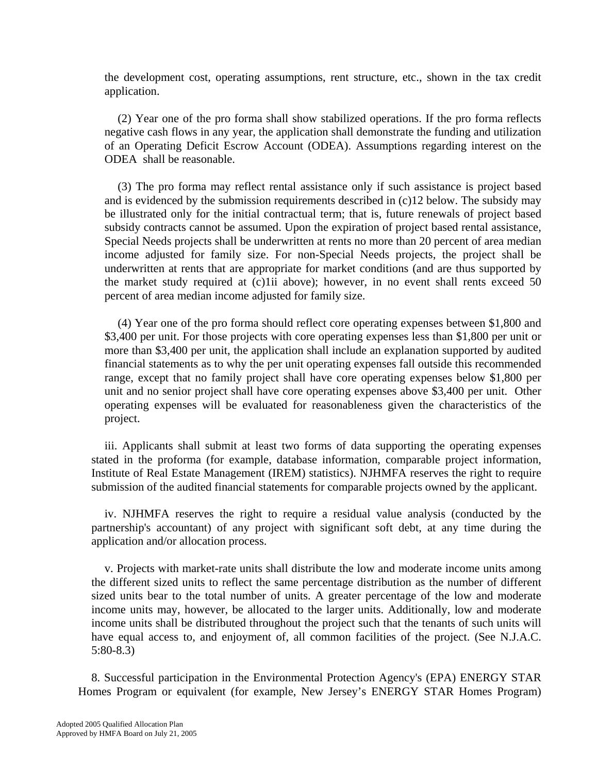the development cost, operating assumptions, rent structure, etc., shown in the tax credit application.

 (2) Year one of the pro forma shall show stabilized operations. If the pro forma reflects negative cash flows in any year, the application shall demonstrate the funding and utilization of an Operating Deficit Escrow Account (ODEA). Assumptions regarding interest on the ODEA shall be reasonable.

 (3) The pro forma may reflect rental assistance only if such assistance is project based and is evidenced by the submission requirements described in (c)12 below. The subsidy may be illustrated only for the initial contractual term; that is, future renewals of project based subsidy contracts cannot be assumed. Upon the expiration of project based rental assistance, Special Needs projects shall be underwritten at rents no more than 20 percent of area median income adjusted for family size. For non-Special Needs projects, the project shall be underwritten at rents that are appropriate for market conditions (and are thus supported by the market study required at (c)1ii above); however, in no event shall rents exceed 50 percent of area median income adjusted for family size.

 (4) Year one of the pro forma should reflect core operating expenses between \$1,800 and \$3,400 per unit. For those projects with core operating expenses less than \$1,800 per unit or more than \$3,400 per unit, the application shall include an explanation supported by audited financial statements as to why the per unit operating expenses fall outside this recommended range, except that no family project shall have core operating expenses below \$1,800 per unit and no senior project shall have core operating expenses above \$3,400 per unit. Other operating expenses will be evaluated for reasonableness given the characteristics of the project.

iii. Applicants shall submit at least two forms of data supporting the operating expenses stated in the proforma (for example, database information, comparable project information, Institute of Real Estate Management (IREM) statistics). NJHMFA reserves the right to require submission of the audited financial statements for comparable projects owned by the applicant.

 iv. NJHMFA reserves the right to require a residual value analysis (conducted by the partnership's accountant) of any project with significant soft debt, at any time during the application and/or allocation process.

 v. Projects with market-rate units shall distribute the low and moderate income units among the different sized units to reflect the same percentage distribution as the number of different sized units bear to the total number of units. A greater percentage of the low and moderate income units may, however, be allocated to the larger units. Additionally, low and moderate income units shall be distributed throughout the project such that the tenants of such units will have equal access to, and enjoyment of, all common facilities of the project. (See N.J.A.C. 5:80-8.3)

8. Successful participation in the Environmental Protection Agency's (EPA) ENERGY STAR Homes Program or equivalent (for example, New Jersey's ENERGY STAR Homes Program)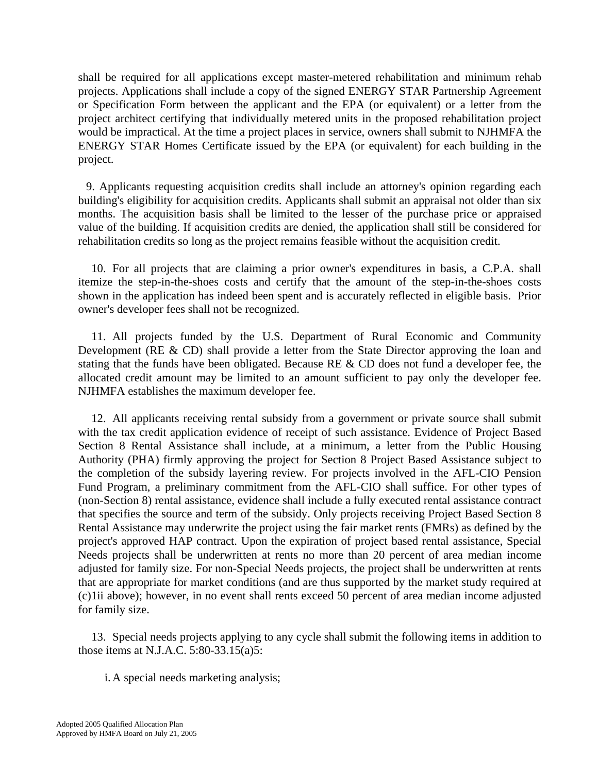shall be required for all applications except master-metered rehabilitation and minimum rehab projects. Applications shall include a copy of the signed ENERGY STAR Partnership Agreement or Specification Form between the applicant and the EPA (or equivalent) or a letter from the project architect certifying that individually metered units in the proposed rehabilitation project would be impractical. At the time a project places in service, owners shall submit to NJHMFA the ENERGY STAR Homes Certificate issued by the EPA (or equivalent) for each building in the project.

 9. Applicants requesting acquisition credits shall include an attorney's opinion regarding each building's eligibility for acquisition credits. Applicants shall submit an appraisal not older than six months. The acquisition basis shall be limited to the lesser of the purchase price or appraised value of the building. If acquisition credits are denied, the application shall still be considered for rehabilitation credits so long as the project remains feasible without the acquisition credit.

10. For all projects that are claiming a prior owner's expenditures in basis, a C.P.A. shall itemize the step-in-the-shoes costs and certify that the amount of the step-in-the-shoes costs shown in the application has indeed been spent and is accurately reflected in eligible basis. Prior owner's developer fees shall not be recognized.

11. All projects funded by the U.S. Department of Rural Economic and Community Development (RE & CD) shall provide a letter from the State Director approving the loan and stating that the funds have been obligated. Because RE & CD does not fund a developer fee, the allocated credit amount may be limited to an amount sufficient to pay only the developer fee. NJHMFA establishes the maximum developer fee.

12. All applicants receiving rental subsidy from a government or private source shall submit with the tax credit application evidence of receipt of such assistance. Evidence of Project Based Section 8 Rental Assistance shall include, at a minimum, a letter from the Public Housing Authority (PHA) firmly approving the project for Section 8 Project Based Assistance subject to the completion of the subsidy layering review. For projects involved in the AFL-CIO Pension Fund Program, a preliminary commitment from the AFL-CIO shall suffice. For other types of (non-Section 8) rental assistance, evidence shall include a fully executed rental assistance contract that specifies the source and term of the subsidy. Only projects receiving Project Based Section 8 Rental Assistance may underwrite the project using the fair market rents (FMRs) as defined by the project's approved HAP contract. Upon the expiration of project based rental assistance, Special Needs projects shall be underwritten at rents no more than 20 percent of area median income adjusted for family size. For non-Special Needs projects, the project shall be underwritten at rents that are appropriate for market conditions (and are thus supported by the market study required at (c)1ii above); however, in no event shall rents exceed 50 percent of area median income adjusted for family size.

13. Special needs projects applying to any cycle shall submit the following items in addition to those items at N.J.A.C. 5:80-33.15(a)5:

i. A special needs marketing analysis;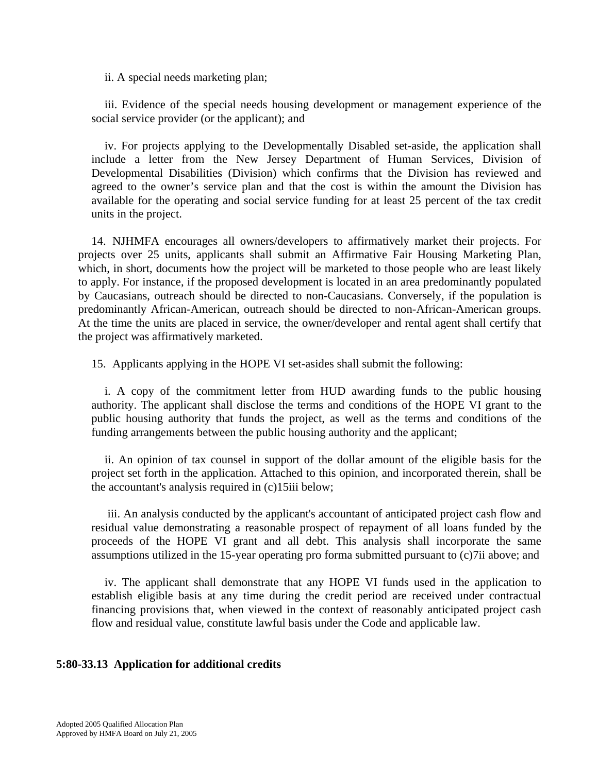ii. A special needs marketing plan;

iii. Evidence of the special needs housing development or management experience of the social service provider (or the applicant); and

iv. For projects applying to the Developmentally Disabled set-aside, the application shall include a letter from the New Jersey Department of Human Services, Division of Developmental Disabilities (Division) which confirms that the Division has reviewed and agreed to the owner's service plan and that the cost is within the amount the Division has available for the operating and social service funding for at least 25 percent of the tax credit units in the project.

14. NJHMFA encourages all owners/developers to affirmatively market their projects. For projects over 25 units, applicants shall submit an Affirmative Fair Housing Marketing Plan, which, in short, documents how the project will be marketed to those people who are least likely to apply. For instance, if the proposed development is located in an area predominantly populated by Caucasians, outreach should be directed to non-Caucasians. Conversely, if the population is predominantly African-American, outreach should be directed to non-African-American groups. At the time the units are placed in service, the owner/developer and rental agent shall certify that the project was affirmatively marketed.

15. Applicants applying in the HOPE VI set-asides shall submit the following:

i. A copy of the commitment letter from HUD awarding funds to the public housing authority. The applicant shall disclose the terms and conditions of the HOPE VI grant to the public housing authority that funds the project, as well as the terms and conditions of the funding arrangements between the public housing authority and the applicant;

ii. An opinion of tax counsel in support of the dollar amount of the eligible basis for the project set forth in the application. Attached to this opinion, and incorporated therein, shall be the accountant's analysis required in (c)15iii below;

 iii. An analysis conducted by the applicant's accountant of anticipated project cash flow and residual value demonstrating a reasonable prospect of repayment of all loans funded by the proceeds of the HOPE VI grant and all debt. This analysis shall incorporate the same assumptions utilized in the 15-year operating pro forma submitted pursuant to (c)7ii above; and

iv. The applicant shall demonstrate that any HOPE VI funds used in the application to establish eligible basis at any time during the credit period are received under contractual financing provisions that, when viewed in the context of reasonably anticipated project cash flow and residual value, constitute lawful basis under the Code and applicable law.

# **5:80-33.13 Application for additional credits**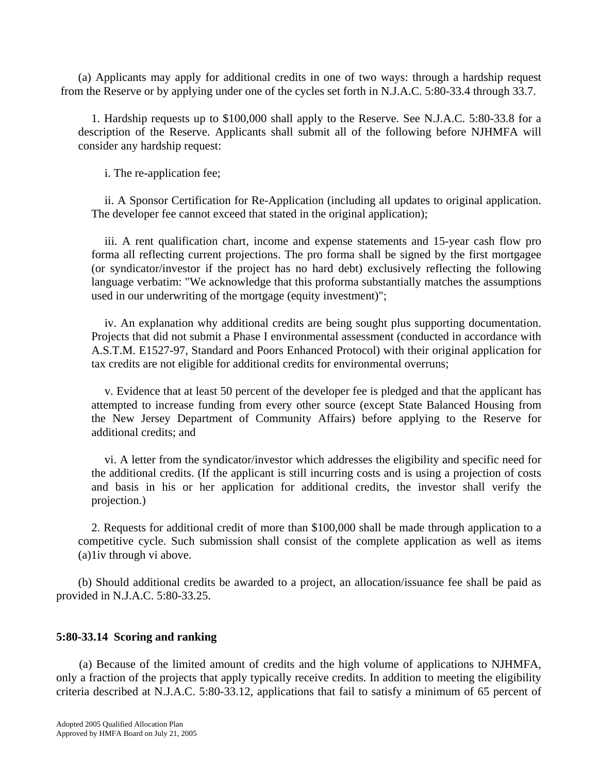(a) Applicants may apply for additional credits in one of two ways: through a hardship request from the Reserve or by applying under one of the cycles set forth in N.J.A.C. 5:80-33.4 through 33.7.

1. Hardship requests up to \$100,000 shall apply to the Reserve. See N.J.A.C. 5:80-33.8 for a description of the Reserve. Applicants shall submit all of the following before NJHMFA will consider any hardship request:

i. The re-application fee;

ii. A Sponsor Certification for Re-Application (including all updates to original application. The developer fee cannot exceed that stated in the original application);

iii. A rent qualification chart, income and expense statements and 15-year cash flow pro forma all reflecting current projections. The pro forma shall be signed by the first mortgagee (or syndicator/investor if the project has no hard debt) exclusively reflecting the following language verbatim: "We acknowledge that this proforma substantially matches the assumptions used in our underwriting of the mortgage (equity investment)";

iv. An explanation why additional credits are being sought plus supporting documentation. Projects that did not submit a Phase I environmental assessment (conducted in accordance with A.S.T.M. E1527-97, Standard and Poors Enhanced Protocol) with their original application for tax credits are not eligible for additional credits for environmental overruns;

v. Evidence that at least 50 percent of the developer fee is pledged and that the applicant has attempted to increase funding from every other source (except State Balanced Housing from the New Jersey Department of Community Affairs) before applying to the Reserve for additional credits; and

vi. A letter from the syndicator/investor which addresses the eligibility and specific need for the additional credits. (If the applicant is still incurring costs and is using a projection of costs and basis in his or her application for additional credits, the investor shall verify the projection.)

2. Requests for additional credit of more than \$100,000 shall be made through application to a competitive cycle. Such submission shall consist of the complete application as well as items (a)1iv through vi above.

 (b) Should additional credits be awarded to a project, an allocation/issuance fee shall be paid as provided in N.J.A.C. 5:80-33.25.

# **5:80-33.14 Scoring and ranking**

 (a) Because of the limited amount of credits and the high volume of applications to NJHMFA, only a fraction of the projects that apply typically receive credits. In addition to meeting the eligibility criteria described at N.J.A.C. 5:80-33.12, applications that fail to satisfy a minimum of 65 percent of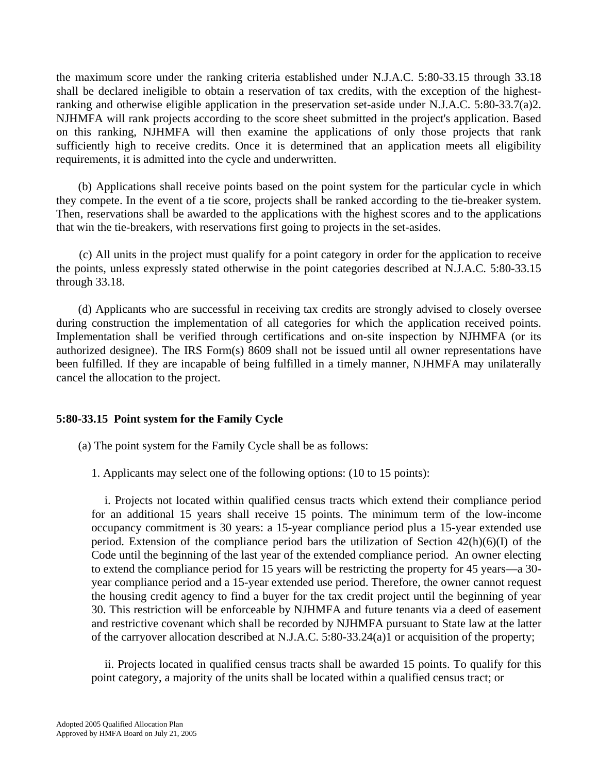the maximum score under the ranking criteria established under N.J.A.C. 5:80-33.15 through 33.18 shall be declared ineligible to obtain a reservation of tax credits, with the exception of the highestranking and otherwise eligible application in the preservation set-aside under N.J.A.C. 5:80-33.7(a)2. NJHMFA will rank projects according to the score sheet submitted in the project's application. Based on this ranking, NJHMFA will then examine the applications of only those projects that rank sufficiently high to receive credits. Once it is determined that an application meets all eligibility requirements, it is admitted into the cycle and underwritten.

 (b) Applications shall receive points based on the point system for the particular cycle in which they compete. In the event of a tie score, projects shall be ranked according to the tie-breaker system. Then, reservations shall be awarded to the applications with the highest scores and to the applications that win the tie-breakers, with reservations first going to projects in the set-asides.

 (c) All units in the project must qualify for a point category in order for the application to receive the points, unless expressly stated otherwise in the point categories described at N.J.A.C. 5:80-33.15 through 33.18.

 (d) Applicants who are successful in receiving tax credits are strongly advised to closely oversee during construction the implementation of all categories for which the application received points. Implementation shall be verified through certifications and on-site inspection by NJHMFA (or its authorized designee). The IRS Form(s) 8609 shall not be issued until all owner representations have been fulfilled. If they are incapable of being fulfilled in a timely manner, NJHMFA may unilaterally cancel the allocation to the project.

# **5:80-33.15 Point system for the Family Cycle**

(a) The point system for the Family Cycle shall be as follows:

1. Applicants may select one of the following options: (10 to 15 points):

i. Projects not located within qualified census tracts which extend their compliance period for an additional 15 years shall receive 15 points. The minimum term of the low-income occupancy commitment is 30 years: a 15-year compliance period plus a 15-year extended use period. Extension of the compliance period bars the utilization of Section 42(h)(6)(I) of the Code until the beginning of the last year of the extended compliance period. An owner electing to extend the compliance period for 15 years will be restricting the property for 45 years—a 30 year compliance period and a 15-year extended use period. Therefore, the owner cannot request the housing credit agency to find a buyer for the tax credit project until the beginning of year 30. This restriction will be enforceable by NJHMFA and future tenants via a deed of easement and restrictive covenant which shall be recorded by NJHMFA pursuant to State law at the latter of the carryover allocation described at N.J.A.C. 5:80-33.24(a)1 or acquisition of the property;

ii. Projects located in qualified census tracts shall be awarded 15 points. To qualify for this point category, a majority of the units shall be located within a qualified census tract; or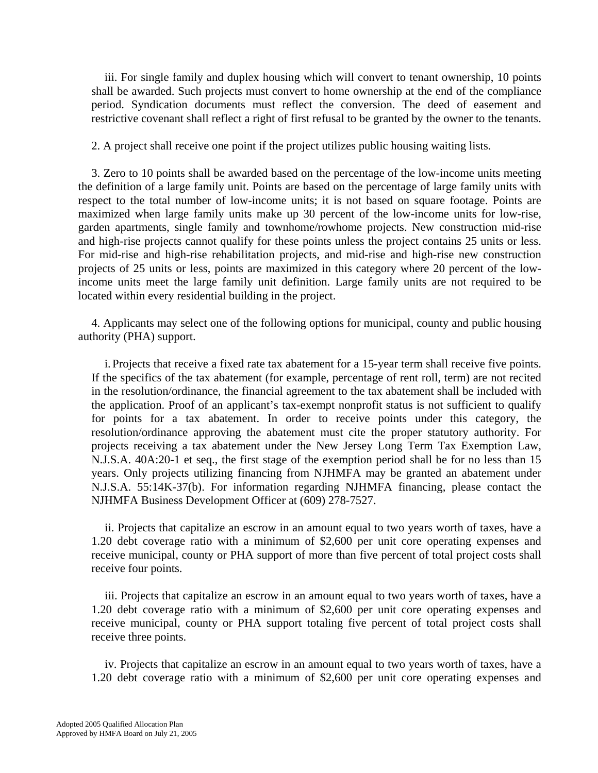iii. For single family and duplex housing which will convert to tenant ownership, 10 points shall be awarded. Such projects must convert to home ownership at the end of the compliance period. Syndication documents must reflect the conversion. The deed of easement and restrictive covenant shall reflect a right of first refusal to be granted by the owner to the tenants.

2. A project shall receive one point if the project utilizes public housing waiting lists.

3. Zero to 10 points shall be awarded based on the percentage of the low-income units meeting the definition of a large family unit. Points are based on the percentage of large family units with respect to the total number of low-income units; it is not based on square footage. Points are maximized when large family units make up 30 percent of the low-income units for low-rise, garden apartments, single family and townhome/rowhome projects. New construction mid-rise and high-rise projects cannot qualify for these points unless the project contains 25 units or less. For mid-rise and high-rise rehabilitation projects, and mid-rise and high-rise new construction projects of 25 units or less, points are maximized in this category where 20 percent of the lowincome units meet the large family unit definition. Large family units are not required to be located within every residential building in the project.

4. Applicants may select one of the following options for municipal, county and public housing authority (PHA) support.

i. Projects that receive a fixed rate tax abatement for a 15-year term shall receive five points. If the specifics of the tax abatement (for example, percentage of rent roll, term) are not recited in the resolution/ordinance, the financial agreement to the tax abatement shall be included with the application. Proof of an applicant's tax-exempt nonprofit status is not sufficient to qualify for points for a tax abatement. In order to receive points under this category, the resolution/ordinance approving the abatement must cite the proper statutory authority. For projects receiving a tax abatement under the New Jersey Long Term Tax Exemption Law, N.J.S.A. 40A:20-1 et seq., the first stage of the exemption period shall be for no less than 15 years. Only projects utilizing financing from NJHMFA may be granted an abatement under N.J.S.A. 55:14K-37(b). For information regarding NJHMFA financing, please contact the NJHMFA Business Development Officer at (609) 278-7527.

ii. Projects that capitalize an escrow in an amount equal to two years worth of taxes, have a 1.20 debt coverage ratio with a minimum of \$2,600 per unit core operating expenses and receive municipal, county or PHA support of more than five percent of total project costs shall receive four points.

iii. Projects that capitalize an escrow in an amount equal to two years worth of taxes, have a 1.20 debt coverage ratio with a minimum of \$2,600 per unit core operating expenses and receive municipal, county or PHA support totaling five percent of total project costs shall receive three points.

iv. Projects that capitalize an escrow in an amount equal to two years worth of taxes, have a 1.20 debt coverage ratio with a minimum of \$2,600 per unit core operating expenses and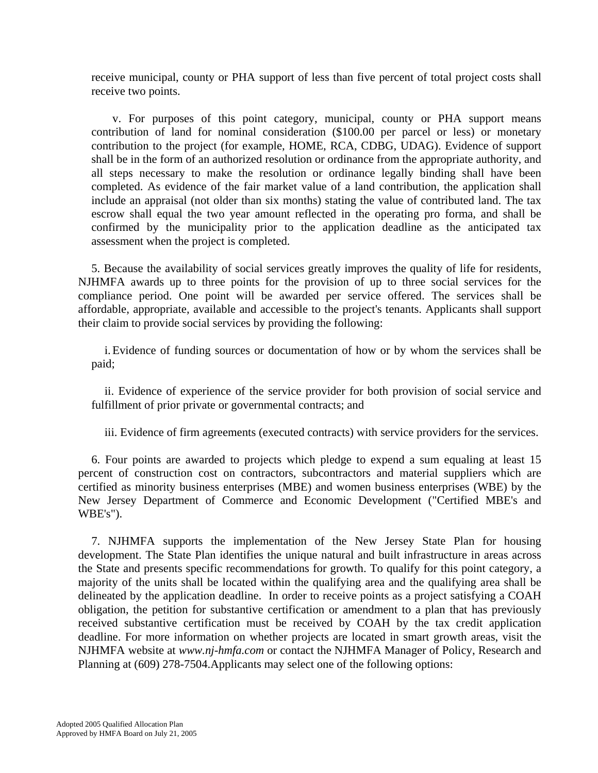receive municipal, county or PHA support of less than five percent of total project costs shall receive two points.

 v. For purposes of this point category, municipal, county or PHA support means contribution of land for nominal consideration (\$100.00 per parcel or less) or monetary contribution to the project (for example, HOME, RCA, CDBG, UDAG). Evidence of support shall be in the form of an authorized resolution or ordinance from the appropriate authority, and all steps necessary to make the resolution or ordinance legally binding shall have been completed. As evidence of the fair market value of a land contribution, the application shall include an appraisal (not older than six months) stating the value of contributed land. The tax escrow shall equal the two year amount reflected in the operating pro forma, and shall be confirmed by the municipality prior to the application deadline as the anticipated tax assessment when the project is completed.

 5. Because the availability of social services greatly improves the quality of life for residents, NJHMFA awards up to three points for the provision of up to three social services for the compliance period. One point will be awarded per service offered. The services shall be affordable, appropriate, available and accessible to the project's tenants. Applicants shall support their claim to provide social services by providing the following:

i. Evidence of funding sources or documentation of how or by whom the services shall be paid;

ii. Evidence of experience of the service provider for both provision of social service and fulfillment of prior private or governmental contracts; and

iii. Evidence of firm agreements (executed contracts) with service providers for the services.

6. Four points are awarded to projects which pledge to expend a sum equaling at least 15 percent of construction cost on contractors, subcontractors and material suppliers which are certified as minority business enterprises (MBE) and women business enterprises (WBE) by the New Jersey Department of Commerce and Economic Development ("Certified MBE's and WBE's").

7. NJHMFA supports the implementation of the New Jersey State Plan for housing development. The State Plan identifies the unique natural and built infrastructure in areas across the State and presents specific recommendations for growth. To qualify for this point category, a majority of the units shall be located within the qualifying area and the qualifying area shall be delineated by the application deadline. In order to receive points as a project satisfying a COAH obligation, the petition for substantive certification or amendment to a plan that has previously received substantive certification must be received by COAH by the tax credit application deadline. For more information on whether projects are located in smart growth areas, visit the NJHMFA website at *www.nj-hmfa.com* or contact the NJHMFA Manager of Policy, Research and Planning at (609) 278-7504.Applicants may select one of the following options: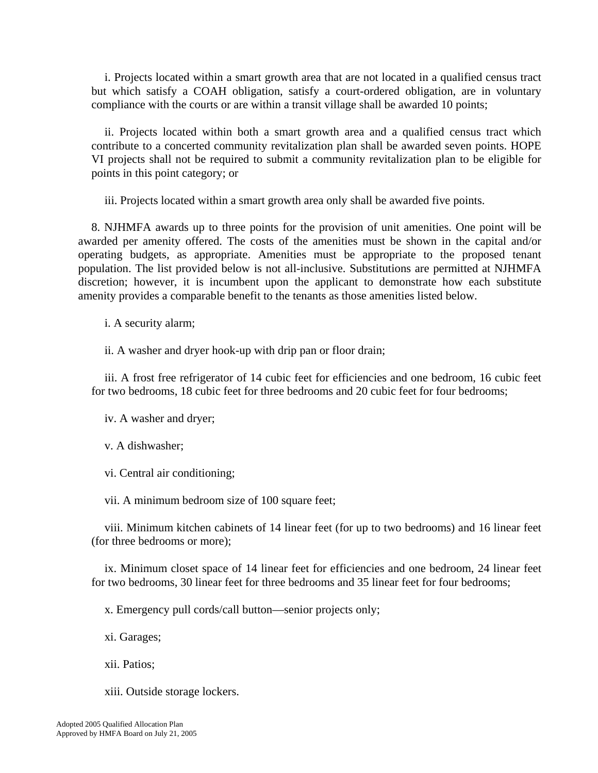i. Projects located within a smart growth area that are not located in a qualified census tract but which satisfy a COAH obligation, satisfy a court-ordered obligation, are in voluntary compliance with the courts or are within a transit village shall be awarded 10 points;

ii. Projects located within both a smart growth area and a qualified census tract which contribute to a concerted community revitalization plan shall be awarded seven points. HOPE VI projects shall not be required to submit a community revitalization plan to be eligible for points in this point category; or

iii. Projects located within a smart growth area only shall be awarded five points.

8. NJHMFA awards up to three points for the provision of unit amenities. One point will be awarded per amenity offered. The costs of the amenities must be shown in the capital and/or operating budgets, as appropriate. Amenities must be appropriate to the proposed tenant population. The list provided below is not all-inclusive. Substitutions are permitted at NJHMFA discretion; however, it is incumbent upon the applicant to demonstrate how each substitute amenity provides a comparable benefit to the tenants as those amenities listed below.

i. A security alarm;

ii. A washer and dryer hook-up with drip pan or floor drain;

iii. A frost free refrigerator of 14 cubic feet for efficiencies and one bedroom, 16 cubic feet for two bedrooms, 18 cubic feet for three bedrooms and 20 cubic feet for four bedrooms;

iv. A washer and dryer;

v. A dishwasher;

vi. Central air conditioning;

vii. A minimum bedroom size of 100 square feet;

viii. Minimum kitchen cabinets of 14 linear feet (for up to two bedrooms) and 16 linear feet (for three bedrooms or more);

ix. Minimum closet space of 14 linear feet for efficiencies and one bedroom, 24 linear feet for two bedrooms, 30 linear feet for three bedrooms and 35 linear feet for four bedrooms;

x. Emergency pull cords/call button—senior projects only;

xi. Garages;

xii. Patios;

xiii. Outside storage lockers.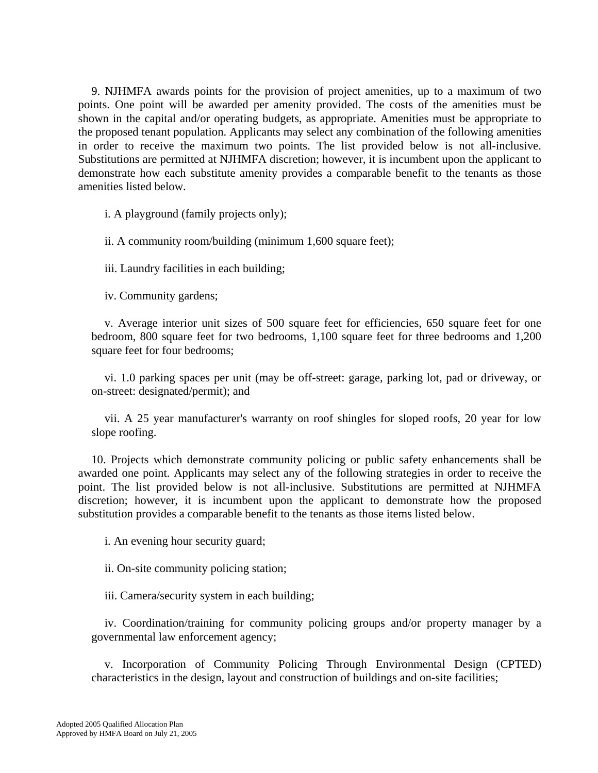9. NJHMFA awards points for the provision of project amenities, up to a maximum of two points. One point will be awarded per amenity provided. The costs of the amenities must be shown in the capital and/or operating budgets, as appropriate. Amenities must be appropriate to the proposed tenant population. Applicants may select any combination of the following amenities in order to receive the maximum two points. The list provided below is not all-inclusive. Substitutions are permitted at NJHMFA discretion; however, it is incumbent upon the applicant to demonstrate how each substitute amenity provides a comparable benefit to the tenants as those amenities listed below.

i. A playground (family projects only);

ii. A community room/building (minimum 1,600 square feet);

iii. Laundry facilities in each building;

iv. Community gardens;

v. Average interior unit sizes of 500 square feet for efficiencies, 650 square feet for one bedroom, 800 square feet for two bedrooms, 1,100 square feet for three bedrooms and 1,200 square feet for four bedrooms;

vi. 1.0 parking spaces per unit (may be off-street: garage, parking lot, pad or driveway, or on-street: designated/permit); and

vii. A 25 year manufacturer's warranty on roof shingles for sloped roofs, 20 year for low slope roofing.

10. Projects which demonstrate community policing or public safety enhancements shall be awarded one point. Applicants may select any of the following strategies in order to receive the point. The list provided below is not all-inclusive. Substitutions are permitted at NJHMFA discretion; however, it is incumbent upon the applicant to demonstrate how the proposed substitution provides a comparable benefit to the tenants as those items listed below.

i. An evening hour security guard;

ii. On-site community policing station;

iii. Camera/security system in each building;

iv. Coordination/training for community policing groups and/or property manager by a governmental law enforcement agency;

v. Incorporation of Community Policing Through Environmental Design (CPTED) characteristics in the design, layout and construction of buildings and on-site facilities;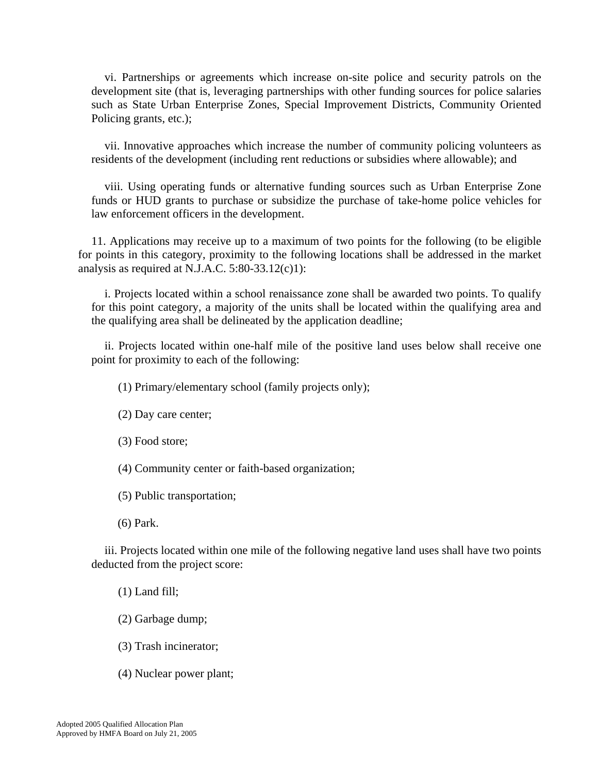vi. Partnerships or agreements which increase on-site police and security patrols on the development site (that is, leveraging partnerships with other funding sources for police salaries such as State Urban Enterprise Zones, Special Improvement Districts, Community Oriented Policing grants, etc.);

vii. Innovative approaches which increase the number of community policing volunteers as residents of the development (including rent reductions or subsidies where allowable); and

viii. Using operating funds or alternative funding sources such as Urban Enterprise Zone funds or HUD grants to purchase or subsidize the purchase of take-home police vehicles for law enforcement officers in the development.

11. Applications may receive up to a maximum of two points for the following (to be eligible for points in this category, proximity to the following locations shall be addressed in the market analysis as required at N.J.A.C. 5:80-33.12(c)1):

i. Projects located within a school renaissance zone shall be awarded two points. To qualify for this point category, a majority of the units shall be located within the qualifying area and the qualifying area shall be delineated by the application deadline;

ii. Projects located within one-half mile of the positive land uses below shall receive one point for proximity to each of the following:

(1) Primary/elementary school (family projects only);

(2) Day care center;

(3) Food store;

(4) Community center or faith-based organization;

(5) Public transportation;

(6) Park.

iii. Projects located within one mile of the following negative land uses shall have two points deducted from the project score:

(1) Land fill;

(2) Garbage dump;

(3) Trash incinerator;

(4) Nuclear power plant;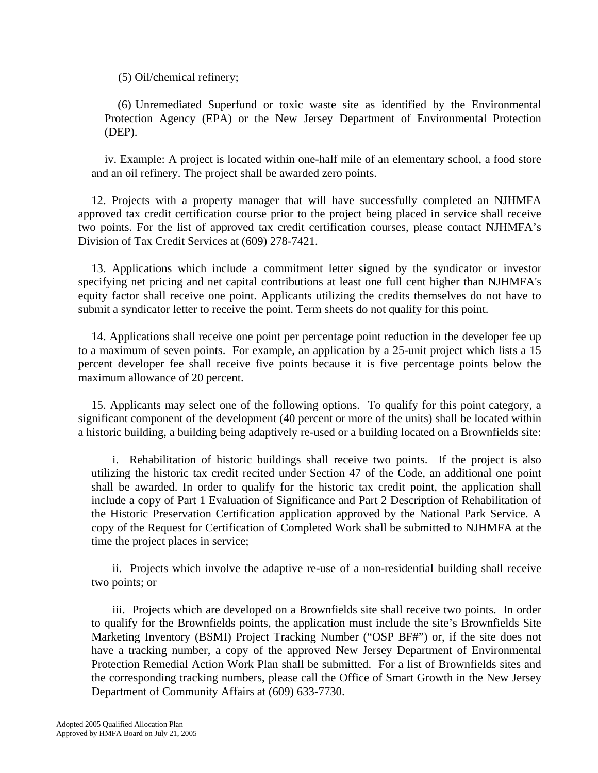(5) Oil/chemical refinery;

(6) Unremediated Superfund or toxic waste site as identified by the Environmental Protection Agency (EPA) or the New Jersey Department of Environmental Protection (DEP).

iv. Example: A project is located within one-half mile of an elementary school, a food store and an oil refinery. The project shall be awarded zero points.

12. Projects with a property manager that will have successfully completed an NJHMFA approved tax credit certification course prior to the project being placed in service shall receive two points. For the list of approved tax credit certification courses, please contact NJHMFA's Division of Tax Credit Services at (609) 278-7421.

13. Applications which include a commitment letter signed by the syndicator or investor specifying net pricing and net capital contributions at least one full cent higher than NJHMFA's equity factor shall receive one point. Applicants utilizing the credits themselves do not have to submit a syndicator letter to receive the point. Term sheets do not qualify for this point.

14. Applications shall receive one point per percentage point reduction in the developer fee up to a maximum of seven points. For example, an application by a 25-unit project which lists a 15 percent developer fee shall receive five points because it is five percentage points below the maximum allowance of 20 percent.

15. Applicants may select one of the following options. To qualify for this point category, a significant component of the development (40 percent or more of the units) shall be located within a historic building, a building being adaptively re-used or a building located on a Brownfields site:

 i. Rehabilitation of historic buildings shall receive two points. If the project is also utilizing the historic tax credit recited under Section 47 of the Code, an additional one point shall be awarded. In order to qualify for the historic tax credit point, the application shall include a copy of Part 1 Evaluation of Significance and Part 2 Description of Rehabilitation of the Historic Preservation Certification application approved by the National Park Service. A copy of the Request for Certification of Completed Work shall be submitted to NJHMFA at the time the project places in service;

 ii. Projects which involve the adaptive re-use of a non-residential building shall receive two points; or

 iii. Projects which are developed on a Brownfields site shall receive two points. In order to qualify for the Brownfields points, the application must include the site's Brownfields Site Marketing Inventory (BSMI) Project Tracking Number ("OSP BF#") or, if the site does not have a tracking number, a copy of the approved New Jersey Department of Environmental Protection Remedial Action Work Plan shall be submitted. For a list of Brownfields sites and the corresponding tracking numbers, please call the Office of Smart Growth in the New Jersey Department of Community Affairs at (609) 633-7730.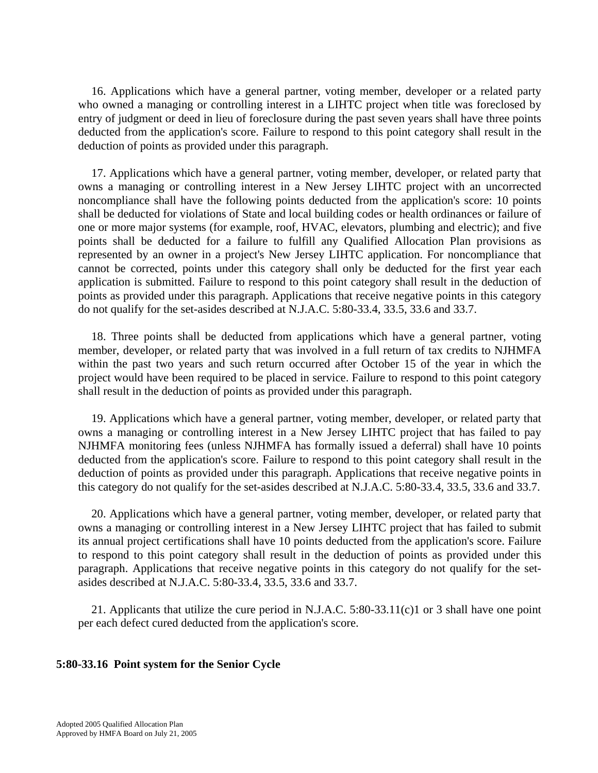16. Applications which have a general partner, voting member, developer or a related party who owned a managing or controlling interest in a LIHTC project when title was foreclosed by entry of judgment or deed in lieu of foreclosure during the past seven years shall have three points deducted from the application's score. Failure to respond to this point category shall result in the deduction of points as provided under this paragraph.

17. Applications which have a general partner, voting member, developer, or related party that owns a managing or controlling interest in a New Jersey LIHTC project with an uncorrected noncompliance shall have the following points deducted from the application's score: 10 points shall be deducted for violations of State and local building codes or health ordinances or failure of one or more major systems (for example, roof, HVAC, elevators, plumbing and electric); and five points shall be deducted for a failure to fulfill any Qualified Allocation Plan provisions as represented by an owner in a project's New Jersey LIHTC application. For noncompliance that cannot be corrected, points under this category shall only be deducted for the first year each application is submitted. Failure to respond to this point category shall result in the deduction of points as provided under this paragraph. Applications that receive negative points in this category do not qualify for the set-asides described at N.J.A.C. 5:80-33.4, 33.5, 33.6 and 33.7.

18. Three points shall be deducted from applications which have a general partner, voting member, developer, or related party that was involved in a full return of tax credits to NJHMFA within the past two years and such return occurred after October 15 of the year in which the project would have been required to be placed in service. Failure to respond to this point category shall result in the deduction of points as provided under this paragraph.

19. Applications which have a general partner, voting member, developer, or related party that owns a managing or controlling interest in a New Jersey LIHTC project that has failed to pay NJHMFA monitoring fees (unless NJHMFA has formally issued a deferral) shall have 10 points deducted from the application's score. Failure to respond to this point category shall result in the deduction of points as provided under this paragraph. Applications that receive negative points in this category do not qualify for the set-asides described at N.J.A.C. 5:80-33.4, 33.5, 33.6 and 33.7.

20. Applications which have a general partner, voting member, developer, or related party that owns a managing or controlling interest in a New Jersey LIHTC project that has failed to submit its annual project certifications shall have 10 points deducted from the application's score. Failure to respond to this point category shall result in the deduction of points as provided under this paragraph. Applications that receive negative points in this category do not qualify for the setasides described at N.J.A.C. 5:80-33.4, 33.5, 33.6 and 33.7.

21. Applicants that utilize the cure period in N.J.A.C. 5:80-33.11(c)1 or 3 shall have one point per each defect cured deducted from the application's score.

# **5:80-33.16 Point system for the Senior Cycle**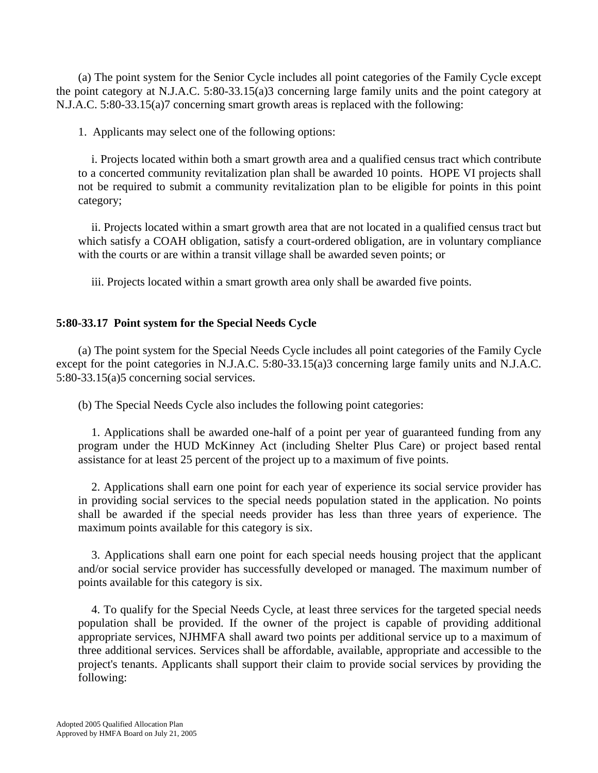(a) The point system for the Senior Cycle includes all point categories of the Family Cycle except the point category at N.J.A.C. 5:80-33.15(a)3 concerning large family units and the point category at N.J.A.C. 5:80-33.15(a)7 concerning smart growth areas is replaced with the following:

1. Applicants may select one of the following options:

i. Projects located within both a smart growth area and a qualified census tract which contribute to a concerted community revitalization plan shall be awarded 10 points. HOPE VI projects shall not be required to submit a community revitalization plan to be eligible for points in this point category;

ii. Projects located within a smart growth area that are not located in a qualified census tract but which satisfy a COAH obligation, satisfy a court-ordered obligation, are in voluntary compliance with the courts or are within a transit village shall be awarded seven points; or

iii. Projects located within a smart growth area only shall be awarded five points.

# **5:80-33.17 Point system for the Special Needs Cycle**

 (a) The point system for the Special Needs Cycle includes all point categories of the Family Cycle except for the point categories in N.J.A.C. 5:80-33.15(a)3 concerning large family units and N.J.A.C. 5:80-33.15(a)5 concerning social services.

(b) The Special Needs Cycle also includes the following point categories:

1. Applications shall be awarded one-half of a point per year of guaranteed funding from any program under the HUD McKinney Act (including Shelter Plus Care) or project based rental assistance for at least 25 percent of the project up to a maximum of five points.

2. Applications shall earn one point for each year of experience its social service provider has in providing social services to the special needs population stated in the application. No points shall be awarded if the special needs provider has less than three years of experience. The maximum points available for this category is six.

3. Applications shall earn one point for each special needs housing project that the applicant and/or social service provider has successfully developed or managed. The maximum number of points available for this category is six.

4. To qualify for the Special Needs Cycle, at least three services for the targeted special needs population shall be provided. If the owner of the project is capable of providing additional appropriate services, NJHMFA shall award two points per additional service up to a maximum of three additional services. Services shall be affordable, available, appropriate and accessible to the project's tenants. Applicants shall support their claim to provide social services by providing the following: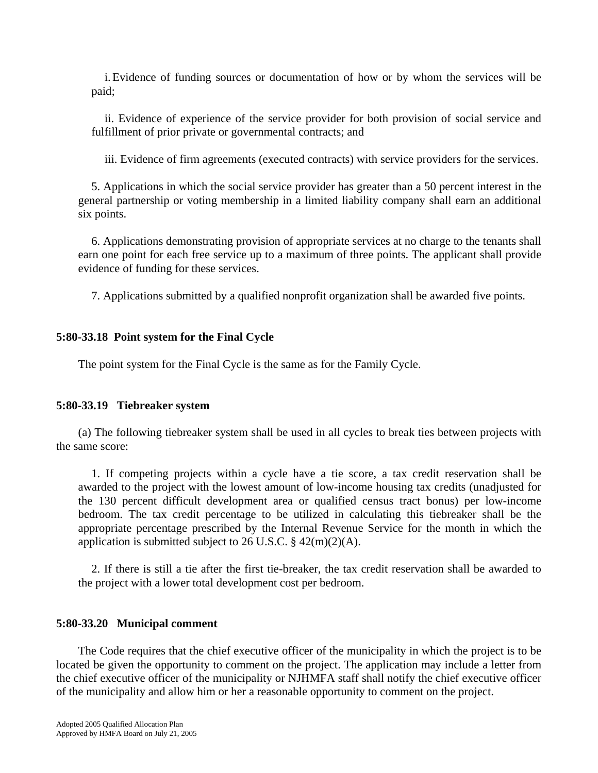i. Evidence of funding sources or documentation of how or by whom the services will be paid;

ii. Evidence of experience of the service provider for both provision of social service and fulfillment of prior private or governmental contracts; and

iii. Evidence of firm agreements (executed contracts) with service providers for the services.

5. Applications in which the social service provider has greater than a 50 percent interest in the general partnership or voting membership in a limited liability company shall earn an additional six points.

6. Applications demonstrating provision of appropriate services at no charge to the tenants shall earn one point for each free service up to a maximum of three points. The applicant shall provide evidence of funding for these services.

7. Applications submitted by a qualified nonprofit organization shall be awarded five points.

# **5:80-33.18 Point system for the Final Cycle**

The point system for the Final Cycle is the same as for the Family Cycle.

# **5:80-33.19 Tiebreaker system**

 (a) The following tiebreaker system shall be used in all cycles to break ties between projects with the same score:

1. If competing projects within a cycle have a tie score, a tax credit reservation shall be awarded to the project with the lowest amount of low-income housing tax credits (unadjusted for the 130 percent difficult development area or qualified census tract bonus) per low-income bedroom. The tax credit percentage to be utilized in calculating this tiebreaker shall be the appropriate percentage prescribed by the Internal Revenue Service for the month in which the application is submitted subject to 26 U.S.C.  $\S$  42(m)(2)(A).

2. If there is still a tie after the first tie-breaker, the tax credit reservation shall be awarded to the project with a lower total development cost per bedroom.

# **5:80-33.20 Municipal comment**

 The Code requires that the chief executive officer of the municipality in which the project is to be located be given the opportunity to comment on the project. The application may include a letter from the chief executive officer of the municipality or NJHMFA staff shall notify the chief executive officer of the municipality and allow him or her a reasonable opportunity to comment on the project.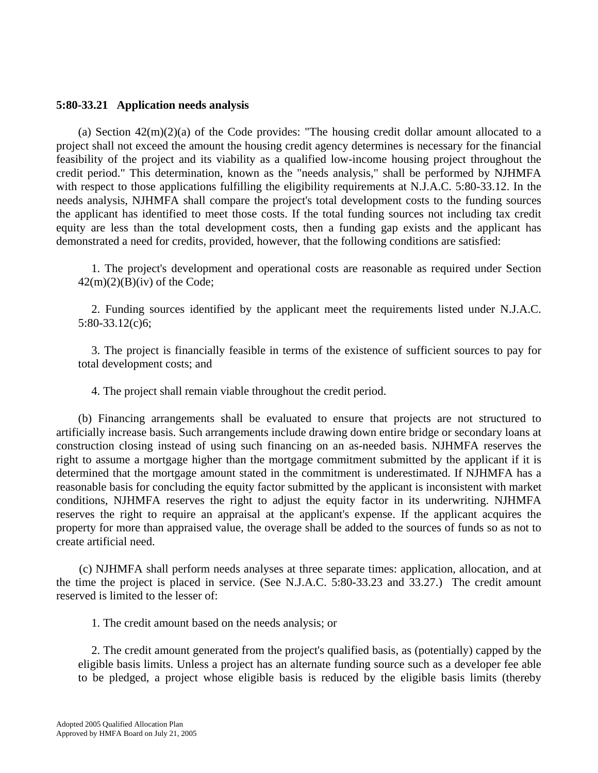## **5:80-33.21 Application needs analysis**

(a) Section  $42(m)(2)(a)$  of the Code provides: "The housing credit dollar amount allocated to a project shall not exceed the amount the housing credit agency determines is necessary for the financial feasibility of the project and its viability as a qualified low-income housing project throughout the credit period." This determination, known as the "needs analysis," shall be performed by NJHMFA with respect to those applications fulfilling the eligibility requirements at N.J.A.C. 5:80-33.12. In the needs analysis, NJHMFA shall compare the project's total development costs to the funding sources the applicant has identified to meet those costs. If the total funding sources not including tax credit equity are less than the total development costs, then a funding gap exists and the applicant has demonstrated a need for credits, provided, however, that the following conditions are satisfied:

1. The project's development and operational costs are reasonable as required under Section  $42(m)(2)(B)(iv)$  of the Code;

2. Funding sources identified by the applicant meet the requirements listed under N.J.A.C. 5:80-33.12(c)6;

3. The project is financially feasible in terms of the existence of sufficient sources to pay for total development costs; and

4. The project shall remain viable throughout the credit period.

 (b) Financing arrangements shall be evaluated to ensure that projects are not structured to artificially increase basis. Such arrangements include drawing down entire bridge or secondary loans at construction closing instead of using such financing on an as-needed basis. NJHMFA reserves the right to assume a mortgage higher than the mortgage commitment submitted by the applicant if it is determined that the mortgage amount stated in the commitment is underestimated. If NJHMFA has a reasonable basis for concluding the equity factor submitted by the applicant is inconsistent with market conditions, NJHMFA reserves the right to adjust the equity factor in its underwriting. NJHMFA reserves the right to require an appraisal at the applicant's expense. If the applicant acquires the property for more than appraised value, the overage shall be added to the sources of funds so as not to create artificial need.

 (c) NJHMFA shall perform needs analyses at three separate times: application, allocation, and at the time the project is placed in service. (See N.J.A.C. 5:80-33.23 and 33.27.) The credit amount reserved is limited to the lesser of:

1. The credit amount based on the needs analysis; or

2. The credit amount generated from the project's qualified basis, as (potentially) capped by the eligible basis limits. Unless a project has an alternate funding source such as a developer fee able to be pledged, a project whose eligible basis is reduced by the eligible basis limits (thereby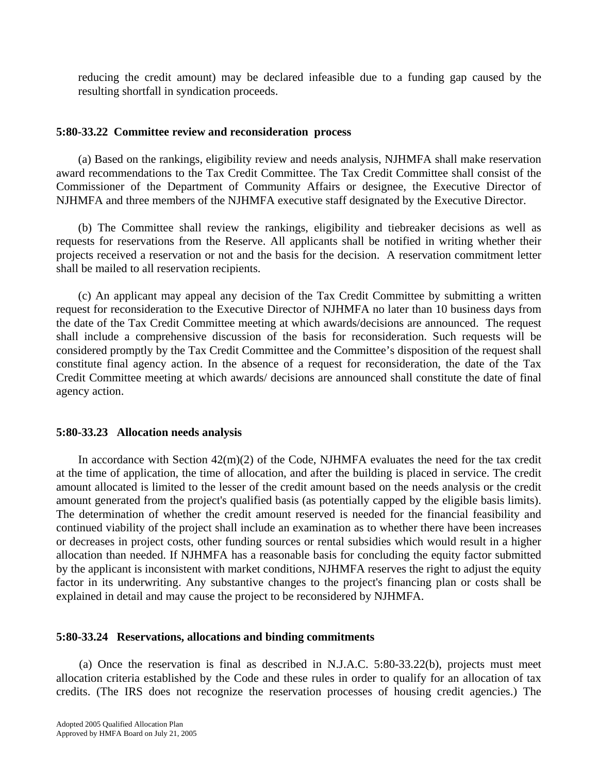reducing the credit amount) may be declared infeasible due to a funding gap caused by the resulting shortfall in syndication proceeds.

## **5:80-33.22 Committee review and reconsideration process**

 (a) Based on the rankings, eligibility review and needs analysis, NJHMFA shall make reservation award recommendations to the Tax Credit Committee. The Tax Credit Committee shall consist of the Commissioner of the Department of Community Affairs or designee, the Executive Director of NJHMFA and three members of the NJHMFA executive staff designated by the Executive Director.

 (b) The Committee shall review the rankings, eligibility and tiebreaker decisions as well as requests for reservations from the Reserve. All applicants shall be notified in writing whether their projects received a reservation or not and the basis for the decision. A reservation commitment letter shall be mailed to all reservation recipients.

 (c) An applicant may appeal any decision of the Tax Credit Committee by submitting a written request for reconsideration to the Executive Director of NJHMFA no later than 10 business days from the date of the Tax Credit Committee meeting at which awards/decisions are announced. The request shall include a comprehensive discussion of the basis for reconsideration. Such requests will be considered promptly by the Tax Credit Committee and the Committee's disposition of the request shall constitute final agency action. In the absence of a request for reconsideration, the date of the Tax Credit Committee meeting at which awards/ decisions are announced shall constitute the date of final agency action.

# **5:80-33.23 Allocation needs analysis**

In accordance with Section  $42(m)(2)$  of the Code, NJHMFA evaluates the need for the tax credit at the time of application, the time of allocation, and after the building is placed in service. The credit amount allocated is limited to the lesser of the credit amount based on the needs analysis or the credit amount generated from the project's qualified basis (as potentially capped by the eligible basis limits). The determination of whether the credit amount reserved is needed for the financial feasibility and continued viability of the project shall include an examination as to whether there have been increases or decreases in project costs, other funding sources or rental subsidies which would result in a higher allocation than needed. If NJHMFA has a reasonable basis for concluding the equity factor submitted by the applicant is inconsistent with market conditions, NJHMFA reserves the right to adjust the equity factor in its underwriting. Any substantive changes to the project's financing plan or costs shall be explained in detail and may cause the project to be reconsidered by NJHMFA.

### **5:80-33.24 Reservations, allocations and binding commitments**

 (a) Once the reservation is final as described in N.J.A.C. 5:80-33.22(b), projects must meet allocation criteria established by the Code and these rules in order to qualify for an allocation of tax credits. (The IRS does not recognize the reservation processes of housing credit agencies.) The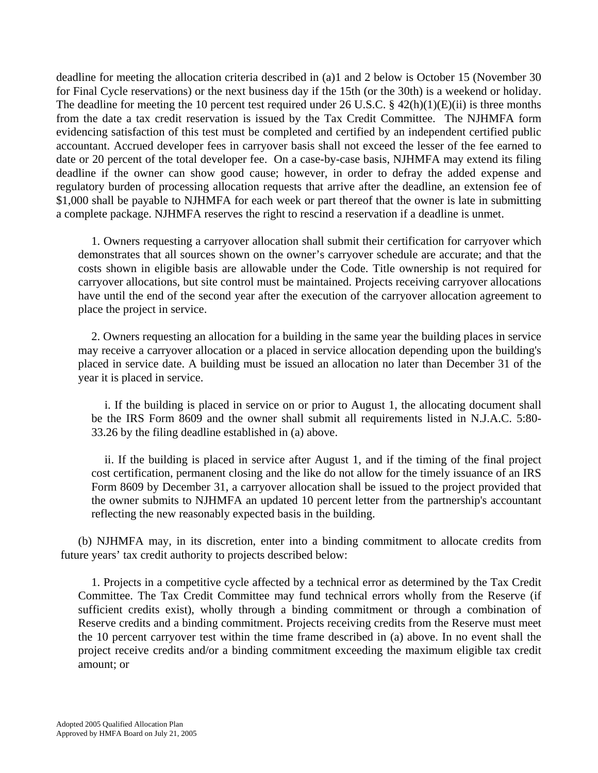deadline for meeting the allocation criteria described in (a)1 and 2 below is October 15 (November 30 for Final Cycle reservations) or the next business day if the 15th (or the 30th) is a weekend or holiday. The deadline for meeting the 10 percent test required under 26 U.S.C.  $\S$  42(h)(1)(E)(ii) is three months from the date a tax credit reservation is issued by the Tax Credit Committee. The NJHMFA form evidencing satisfaction of this test must be completed and certified by an independent certified public accountant. Accrued developer fees in carryover basis shall not exceed the lesser of the fee earned to date or 20 percent of the total developer fee. On a case-by-case basis, NJHMFA may extend its filing deadline if the owner can show good cause; however, in order to defray the added expense and regulatory burden of processing allocation requests that arrive after the deadline, an extension fee of \$1,000 shall be payable to NJHMFA for each week or part thereof that the owner is late in submitting a complete package. NJHMFA reserves the right to rescind a reservation if a deadline is unmet.

1. Owners requesting a carryover allocation shall submit their certification for carryover which demonstrates that all sources shown on the owner's carryover schedule are accurate; and that the costs shown in eligible basis are allowable under the Code. Title ownership is not required for carryover allocations, but site control must be maintained. Projects receiving carryover allocations have until the end of the second year after the execution of the carryover allocation agreement to place the project in service.

2. Owners requesting an allocation for a building in the same year the building places in service may receive a carryover allocation or a placed in service allocation depending upon the building's placed in service date. A building must be issued an allocation no later than December 31 of the year it is placed in service.

i. If the building is placed in service on or prior to August 1, the allocating document shall be the IRS Form 8609 and the owner shall submit all requirements listed in N.J.A.C. 5:80- 33.26 by the filing deadline established in (a) above.

ii. If the building is placed in service after August 1, and if the timing of the final project cost certification, permanent closing and the like do not allow for the timely issuance of an IRS Form 8609 by December 31, a carryover allocation shall be issued to the project provided that the owner submits to NJHMFA an updated 10 percent letter from the partnership's accountant reflecting the new reasonably expected basis in the building.

 (b) NJHMFA may, in its discretion, enter into a binding commitment to allocate credits from future years' tax credit authority to projects described below:

1. Projects in a competitive cycle affected by a technical error as determined by the Tax Credit Committee. The Tax Credit Committee may fund technical errors wholly from the Reserve (if sufficient credits exist), wholly through a binding commitment or through a combination of Reserve credits and a binding commitment. Projects receiving credits from the Reserve must meet the 10 percent carryover test within the time frame described in (a) above. In no event shall the project receive credits and/or a binding commitment exceeding the maximum eligible tax credit amount; or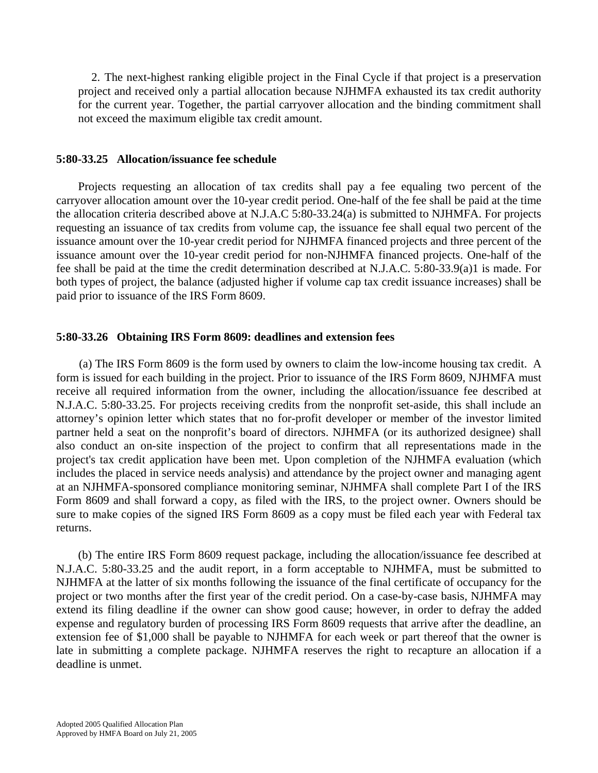2. The next-highest ranking eligible project in the Final Cycle if that project is a preservation project and received only a partial allocation because NJHMFA exhausted its tax credit authority for the current year. Together, the partial carryover allocation and the binding commitment shall not exceed the maximum eligible tax credit amount.

#### **5:80-33.25 Allocation/issuance fee schedule**

 Projects requesting an allocation of tax credits shall pay a fee equaling two percent of the carryover allocation amount over the 10-year credit period. One-half of the fee shall be paid at the time the allocation criteria described above at N.J.A.C 5:80-33.24(a) is submitted to NJHMFA. For projects requesting an issuance of tax credits from volume cap, the issuance fee shall equal two percent of the issuance amount over the 10-year credit period for NJHMFA financed projects and three percent of the issuance amount over the 10-year credit period for non-NJHMFA financed projects. One-half of the fee shall be paid at the time the credit determination described at N.J.A.C. 5:80-33.9(a)1 is made. For both types of project, the balance (adjusted higher if volume cap tax credit issuance increases) shall be paid prior to issuance of the IRS Form 8609.

#### **5:80-33.26 Obtaining IRS Form 8609: deadlines and extension fees**

 (a) The IRS Form 8609 is the form used by owners to claim the low-income housing tax credit. A form is issued for each building in the project. Prior to issuance of the IRS Form 8609, NJHMFA must receive all required information from the owner, including the allocation/issuance fee described at N.J.A.C. 5:80-33.25. For projects receiving credits from the nonprofit set-aside, this shall include an attorney's opinion letter which states that no for-profit developer or member of the investor limited partner held a seat on the nonprofit's board of directors. NJHMFA (or its authorized designee) shall also conduct an on-site inspection of the project to confirm that all representations made in the project's tax credit application have been met. Upon completion of the NJHMFA evaluation (which includes the placed in service needs analysis) and attendance by the project owner and managing agent at an NJHMFA-sponsored compliance monitoring seminar, NJHMFA shall complete Part I of the IRS Form 8609 and shall forward a copy, as filed with the IRS, to the project owner. Owners should be sure to make copies of the signed IRS Form 8609 as a copy must be filed each year with Federal tax returns.

 (b) The entire IRS Form 8609 request package, including the allocation/issuance fee described at N.J.A.C. 5:80-33.25 and the audit report, in a form acceptable to NJHMFA, must be submitted to NJHMFA at the latter of six months following the issuance of the final certificate of occupancy for the project or two months after the first year of the credit period. On a case-by-case basis, NJHMFA may extend its filing deadline if the owner can show good cause; however, in order to defray the added expense and regulatory burden of processing IRS Form 8609 requests that arrive after the deadline, an extension fee of \$1,000 shall be payable to NJHMFA for each week or part thereof that the owner is late in submitting a complete package. NJHMFA reserves the right to recapture an allocation if a deadline is unmet.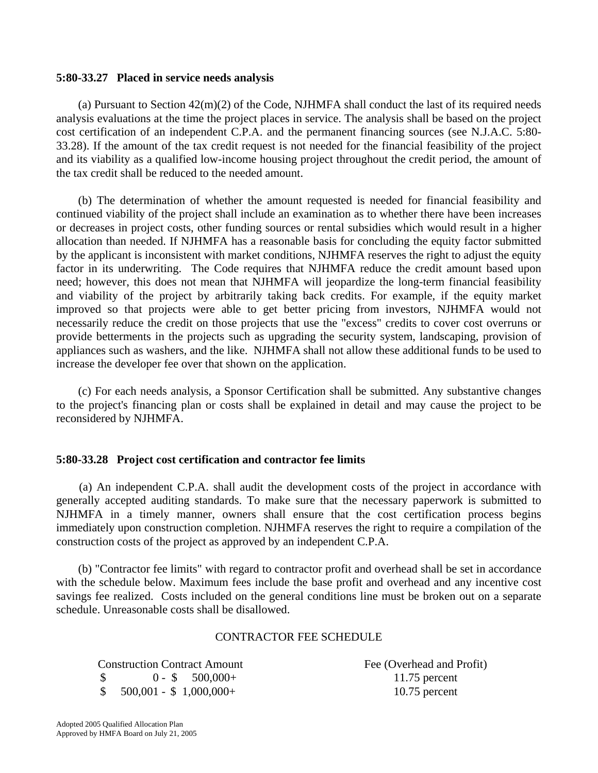## **5:80-33.27 Placed in service needs analysis**

(a) Pursuant to Section  $42(m)(2)$  of the Code, NJHMFA shall conduct the last of its required needs analysis evaluations at the time the project places in service. The analysis shall be based on the project cost certification of an independent C.P.A. and the permanent financing sources (see N.J.A.C. 5:80- 33.28). If the amount of the tax credit request is not needed for the financial feasibility of the project and its viability as a qualified low-income housing project throughout the credit period, the amount of the tax credit shall be reduced to the needed amount.

 (b) The determination of whether the amount requested is needed for financial feasibility and continued viability of the project shall include an examination as to whether there have been increases or decreases in project costs, other funding sources or rental subsidies which would result in a higher allocation than needed. If NJHMFA has a reasonable basis for concluding the equity factor submitted by the applicant is inconsistent with market conditions, NJHMFA reserves the right to adjust the equity factor in its underwriting. The Code requires that NJHMFA reduce the credit amount based upon need; however, this does not mean that NJHMFA will jeopardize the long-term financial feasibility and viability of the project by arbitrarily taking back credits. For example, if the equity market improved so that projects were able to get better pricing from investors, NJHMFA would not necessarily reduce the credit on those projects that use the "excess" credits to cover cost overruns or provide betterments in the projects such as upgrading the security system, landscaping, provision of appliances such as washers, and the like. NJHMFA shall not allow these additional funds to be used to increase the developer fee over that shown on the application.

 (c) For each needs analysis, a Sponsor Certification shall be submitted. Any substantive changes to the project's financing plan or costs shall be explained in detail and may cause the project to be reconsidered by NJHMFA.

# **5:80-33.28 Project cost certification and contractor fee limits**

 (a) An independent C.P.A. shall audit the development costs of the project in accordance with generally accepted auditing standards. To make sure that the necessary paperwork is submitted to NJHMFA in a timely manner, owners shall ensure that the cost certification process begins immediately upon construction completion. NJHMFA reserves the right to require a compilation of the construction costs of the project as approved by an independent C.P.A.

 (b) "Contractor fee limits" with regard to contractor profit and overhead shall be set in accordance with the schedule below. Maximum fees include the base profit and overhead and any incentive cost savings fee realized. Costs included on the general conditions line must be broken out on a separate schedule. Unreasonable costs shall be disallowed.

### CONTRACTOR FEE SCHEDULE

 Construction Contract Amount Fee (Overhead and Profit) \$ 0 - \$ 500,000+ 11.75 percent

\$ 500,001 - \$ 1,000,000+ 10.75 percent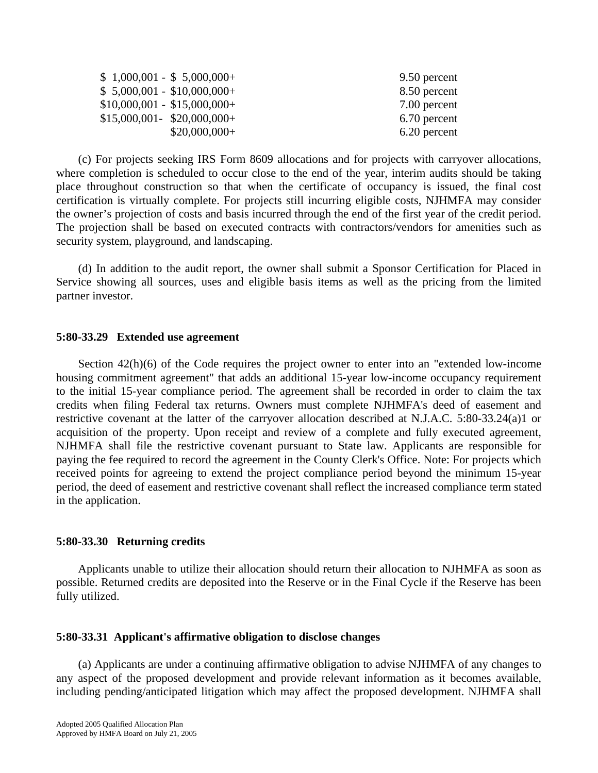| $$1,000,001 - $5,000,000+$   | 9.50 percent |
|------------------------------|--------------|
| $$5,000,001 - $10,000,000+$  | 8.50 percent |
| $$10,000,001 - $15,000,000+$ | 7.00 percent |
| $$15,000,001 - $20,000,000+$ | 6.70 percent |
| $$20,000,000+$               | 6.20 percent |

 (c) For projects seeking IRS Form 8609 allocations and for projects with carryover allocations, where completion is scheduled to occur close to the end of the year, interim audits should be taking place throughout construction so that when the certificate of occupancy is issued, the final cost certification is virtually complete. For projects still incurring eligible costs, NJHMFA may consider the owner's projection of costs and basis incurred through the end of the first year of the credit period. The projection shall be based on executed contracts with contractors/vendors for amenities such as security system, playground, and landscaping.

 (d) In addition to the audit report, the owner shall submit a Sponsor Certification for Placed in Service showing all sources, uses and eligible basis items as well as the pricing from the limited partner investor.

### **5:80-33.29 Extended use agreement**

 Section 42(h)(6) of the Code requires the project owner to enter into an "extended low-income housing commitment agreement" that adds an additional 15-year low-income occupancy requirement to the initial 15-year compliance period. The agreement shall be recorded in order to claim the tax credits when filing Federal tax returns. Owners must complete NJHMFA's deed of easement and restrictive covenant at the latter of the carryover allocation described at N.J.A.C. 5:80-33.24(a)1 or acquisition of the property. Upon receipt and review of a complete and fully executed agreement, NJHMFA shall file the restrictive covenant pursuant to State law. Applicants are responsible for paying the fee required to record the agreement in the County Clerk's Office. Note: For projects which received points for agreeing to extend the project compliance period beyond the minimum 15-year period, the deed of easement and restrictive covenant shall reflect the increased compliance term stated in the application.

### **5:80-33.30 Returning credits**

 Applicants unable to utilize their allocation should return their allocation to NJHMFA as soon as possible. Returned credits are deposited into the Reserve or in the Final Cycle if the Reserve has been fully utilized.

#### **5:80-33.31 Applicant's affirmative obligation to disclose changes**

 (a) Applicants are under a continuing affirmative obligation to advise NJHMFA of any changes to any aspect of the proposed development and provide relevant information as it becomes available, including pending/anticipated litigation which may affect the proposed development. NJHMFA shall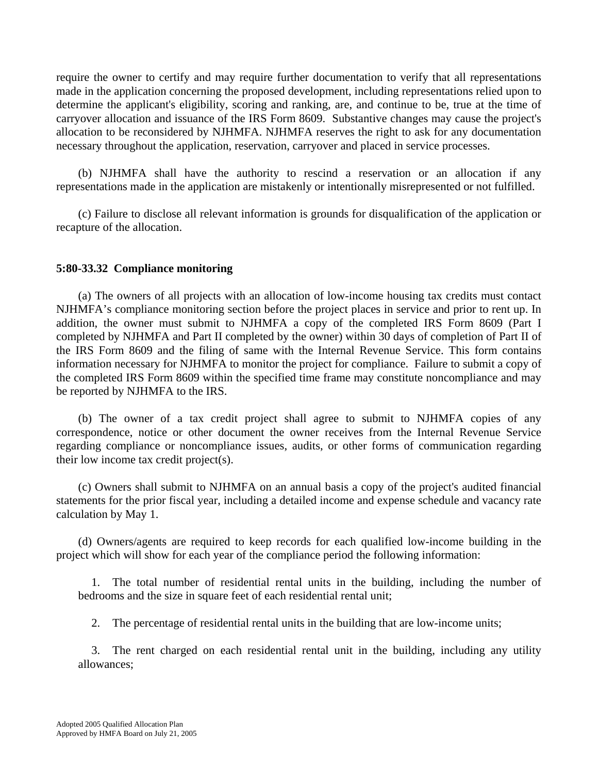require the owner to certify and may require further documentation to verify that all representations made in the application concerning the proposed development, including representations relied upon to determine the applicant's eligibility, scoring and ranking, are, and continue to be, true at the time of carryover allocation and issuance of the IRS Form 8609. Substantive changes may cause the project's allocation to be reconsidered by NJHMFA. NJHMFA reserves the right to ask for any documentation necessary throughout the application, reservation, carryover and placed in service processes.

 (b) NJHMFA shall have the authority to rescind a reservation or an allocation if any representations made in the application are mistakenly or intentionally misrepresented or not fulfilled.

 (c) Failure to disclose all relevant information is grounds for disqualification of the application or recapture of the allocation.

# **5:80-33.32 Compliance monitoring**

 (a) The owners of all projects with an allocation of low-income housing tax credits must contact NJHMFA's compliance monitoring section before the project places in service and prior to rent up. In addition, the owner must submit to NJHMFA a copy of the completed IRS Form 8609 (Part I completed by NJHMFA and Part II completed by the owner) within 30 days of completion of Part II of the IRS Form 8609 and the filing of same with the Internal Revenue Service. This form contains information necessary for NJHMFA to monitor the project for compliance. Failure to submit a copy of the completed IRS Form 8609 within the specified time frame may constitute noncompliance and may be reported by NJHMFA to the IRS.

 (b) The owner of a tax credit project shall agree to submit to NJHMFA copies of any correspondence, notice or other document the owner receives from the Internal Revenue Service regarding compliance or noncompliance issues, audits, or other forms of communication regarding their low income tax credit project(s).

 (c) Owners shall submit to NJHMFA on an annual basis a copy of the project's audited financial statements for the prior fiscal year, including a detailed income and expense schedule and vacancy rate calculation by May 1.

 (d) Owners/agents are required to keep records for each qualified low-income building in the project which will show for each year of the compliance period the following information:

1. The total number of residential rental units in the building, including the number of bedrooms and the size in square feet of each residential rental unit;

2. The percentage of residential rental units in the building that are low-income units;

3. The rent charged on each residential rental unit in the building, including any utility allowances;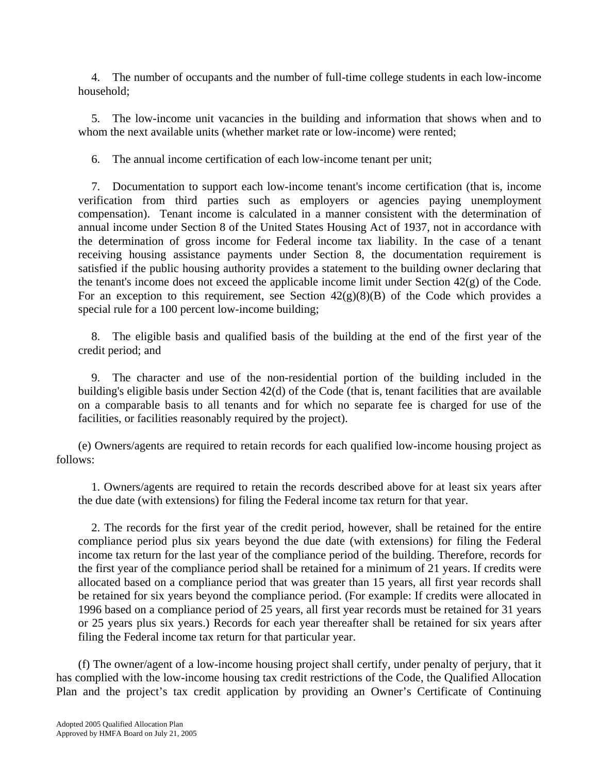4. The number of occupants and the number of full-time college students in each low-income household;

5. The low-income unit vacancies in the building and information that shows when and to whom the next available units (whether market rate or low-income) were rented;

6. The annual income certification of each low-income tenant per unit;

7. Documentation to support each low-income tenant's income certification (that is, income verification from third parties such as employers or agencies paying unemployment compensation). Tenant income is calculated in a manner consistent with the determination of annual income under Section 8 of the United States Housing Act of 1937, not in accordance with the determination of gross income for Federal income tax liability. In the case of a tenant receiving housing assistance payments under Section 8, the documentation requirement is satisfied if the public housing authority provides a statement to the building owner declaring that the tenant's income does not exceed the applicable income limit under Section 42(g) of the Code. For an exception to this requirement, see Section  $42(g)(8)(B)$  of the Code which provides a special rule for a 100 percent low-income building;

8. The eligible basis and qualified basis of the building at the end of the first year of the credit period; and

9. The character and use of the non-residential portion of the building included in the building's eligible basis under Section 42(d) of the Code (that is, tenant facilities that are available on a comparable basis to all tenants and for which no separate fee is charged for use of the facilities, or facilities reasonably required by the project).

 (e) Owners/agents are required to retain records for each qualified low-income housing project as follows:

1. Owners/agents are required to retain the records described above for at least six years after the due date (with extensions) for filing the Federal income tax return for that year.

2. The records for the first year of the credit period, however, shall be retained for the entire compliance period plus six years beyond the due date (with extensions) for filing the Federal income tax return for the last year of the compliance period of the building. Therefore, records for the first year of the compliance period shall be retained for a minimum of 21 years. If credits were allocated based on a compliance period that was greater than 15 years, all first year records shall be retained for six years beyond the compliance period. (For example: If credits were allocated in 1996 based on a compliance period of 25 years, all first year records must be retained for 31 years or 25 years plus six years.) Records for each year thereafter shall be retained for six years after filing the Federal income tax return for that particular year.

 (f) The owner/agent of a low-income housing project shall certify, under penalty of perjury, that it has complied with the low-income housing tax credit restrictions of the Code, the Qualified Allocation Plan and the project's tax credit application by providing an Owner's Certificate of Continuing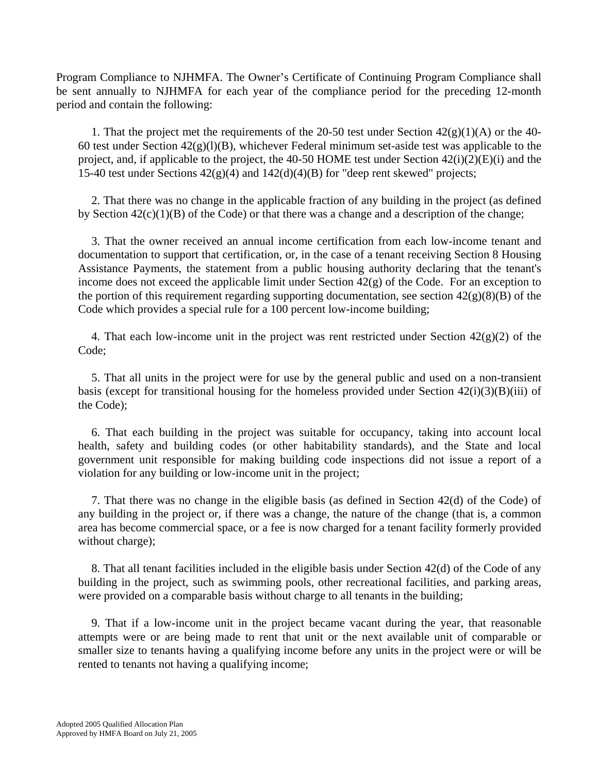Program Compliance to NJHMFA. The Owner's Certificate of Continuing Program Compliance shall be sent annually to NJHMFA for each year of the compliance period for the preceding 12-month period and contain the following:

1. That the project met the requirements of the 20-50 test under Section  $42(g)(1)(A)$  or the 40-60 test under Section  $42(g)(1)(B)$ , whichever Federal minimum set-aside test was applicable to the project, and, if applicable to the project, the 40-50 HOME test under Section 42(i)(2)(E)(i) and the 15-40 test under Sections  $42(g)(4)$  and  $142(d)(4)(B)$  for "deep rent skewed" projects;

2. That there was no change in the applicable fraction of any building in the project (as defined by Section  $42(c)(1)(B)$  of the Code) or that there was a change and a description of the change;

3. That the owner received an annual income certification from each low-income tenant and documentation to support that certification, or, in the case of a tenant receiving Section 8 Housing Assistance Payments, the statement from a public housing authority declaring that the tenant's income does not exceed the applicable limit under Section 42(g) of the Code. For an exception to the portion of this requirement regarding supporting documentation, see section  $42(g)(8)(B)$  of the Code which provides a special rule for a 100 percent low-income building;

4. That each low-income unit in the project was rent restricted under Section  $42(g)(2)$  of the Code;

5. That all units in the project were for use by the general public and used on a non-transient basis (except for transitional housing for the homeless provided under Section  $42(i)(3)(B)(iii)$  of the Code);

6. That each building in the project was suitable for occupancy, taking into account local health, safety and building codes (or other habitability standards), and the State and local government unit responsible for making building code inspections did not issue a report of a violation for any building or low-income unit in the project;

7. That there was no change in the eligible basis (as defined in Section 42(d) of the Code) of any building in the project or, if there was a change, the nature of the change (that is, a common area has become commercial space, or a fee is now charged for a tenant facility formerly provided without charge);

8. That all tenant facilities included in the eligible basis under Section 42(d) of the Code of any building in the project, such as swimming pools, other recreational facilities, and parking areas, were provided on a comparable basis without charge to all tenants in the building;

9. That if a low-income unit in the project became vacant during the year, that reasonable attempts were or are being made to rent that unit or the next available unit of comparable or smaller size to tenants having a qualifying income before any units in the project were or will be rented to tenants not having a qualifying income;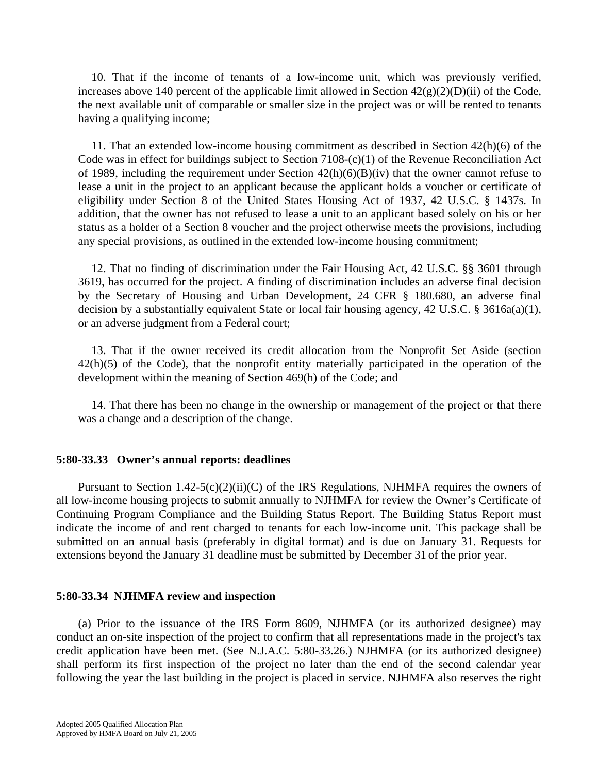10. That if the income of tenants of a low-income unit, which was previously verified, increases above 140 percent of the applicable limit allowed in Section  $42(g)(2)(D)(ii)$  of the Code, the next available unit of comparable or smaller size in the project was or will be rented to tenants having a qualifying income;

11. That an extended low-income housing commitment as described in Section 42(h)(6) of the Code was in effect for buildings subject to Section 7108-(c)(1) of the Revenue Reconciliation Act of 1989, including the requirement under Section  $42(h)(6)(B)(iv)$  that the owner cannot refuse to lease a unit in the project to an applicant because the applicant holds a voucher or certificate of eligibility under Section 8 of the United States Housing Act of 1937, 42 U.S.C. § 1437s. In addition, that the owner has not refused to lease a unit to an applicant based solely on his or her status as a holder of a Section 8 voucher and the project otherwise meets the provisions, including any special provisions, as outlined in the extended low-income housing commitment;

12. That no finding of discrimination under the Fair Housing Act, 42 U.S.C. §§ 3601 through 3619, has occurred for the project. A finding of discrimination includes an adverse final decision by the Secretary of Housing and Urban Development, 24 CFR § 180.680, an adverse final decision by a substantially equivalent State or local fair housing agency, 42 U.S.C. § 3616a(a)(1), or an adverse judgment from a Federal court;

13. That if the owner received its credit allocation from the Nonprofit Set Aside (section 42(h)(5) of the Code), that the nonprofit entity materially participated in the operation of the development within the meaning of Section 469(h) of the Code; and

14. That there has been no change in the ownership or management of the project or that there was a change and a description of the change.

### **5:80-33.33 Owner's annual reports: deadlines**

Pursuant to Section 1.42-5(c)(2)(ii)(C) of the IRS Regulations, NJHMFA requires the owners of all low-income housing projects to submit annually to NJHMFA for review the Owner's Certificate of Continuing Program Compliance and the Building Status Report. The Building Status Report must indicate the income of and rent charged to tenants for each low-income unit. This package shall be submitted on an annual basis (preferably in digital format) and is due on January 31. Requests for extensions beyond the January 31 deadline must be submitted by December 31 of the prior year.

### **5:80-33.34 NJHMFA review and inspection**

 (a) Prior to the issuance of the IRS Form 8609, NJHMFA (or its authorized designee) may conduct an on-site inspection of the project to confirm that all representations made in the project's tax credit application have been met. (See N.J.A.C. 5:80-33.26.) NJHMFA (or its authorized designee) shall perform its first inspection of the project no later than the end of the second calendar year following the year the last building in the project is placed in service. NJHMFA also reserves the right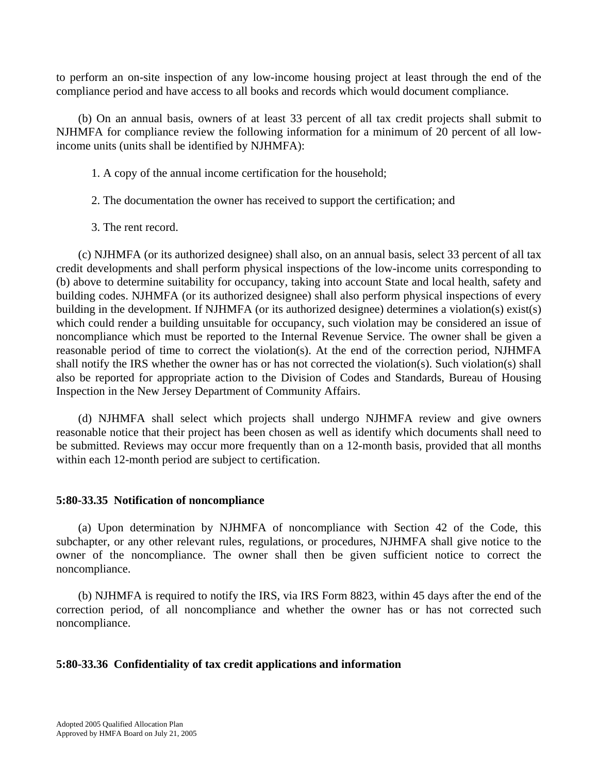to perform an on-site inspection of any low-income housing project at least through the end of the compliance period and have access to all books and records which would document compliance.

 (b) On an annual basis, owners of at least 33 percent of all tax credit projects shall submit to NJHMFA for compliance review the following information for a minimum of 20 percent of all lowincome units (units shall be identified by NJHMFA):

- 1. A copy of the annual income certification for the household;
- 2. The documentation the owner has received to support the certification; and
- 3. The rent record.

 (c) NJHMFA (or its authorized designee) shall also, on an annual basis, select 33 percent of all tax credit developments and shall perform physical inspections of the low-income units corresponding to (b) above to determine suitability for occupancy, taking into account State and local health, safety and building codes. NJHMFA (or its authorized designee) shall also perform physical inspections of every building in the development. If NJHMFA (or its authorized designee) determines a violation(s) exist(s) which could render a building unsuitable for occupancy, such violation may be considered an issue of noncompliance which must be reported to the Internal Revenue Service. The owner shall be given a reasonable period of time to correct the violation(s). At the end of the correction period, NJHMFA shall notify the IRS whether the owner has or has not corrected the violation(s). Such violation(s) shall also be reported for appropriate action to the Division of Codes and Standards, Bureau of Housing Inspection in the New Jersey Department of Community Affairs.

 (d) NJHMFA shall select which projects shall undergo NJHMFA review and give owners reasonable notice that their project has been chosen as well as identify which documents shall need to be submitted. Reviews may occur more frequently than on a 12-month basis, provided that all months within each 12-month period are subject to certification.

# **5:80-33.35 Notification of noncompliance**

 (a) Upon determination by NJHMFA of noncompliance with Section 42 of the Code, this subchapter, or any other relevant rules, regulations, or procedures, NJHMFA shall give notice to the owner of the noncompliance. The owner shall then be given sufficient notice to correct the noncompliance.

 (b) NJHMFA is required to notify the IRS, via IRS Form 8823, within 45 days after the end of the correction period, of all noncompliance and whether the owner has or has not corrected such noncompliance.

# **5:80-33.36 Confidentiality of tax credit applications and information**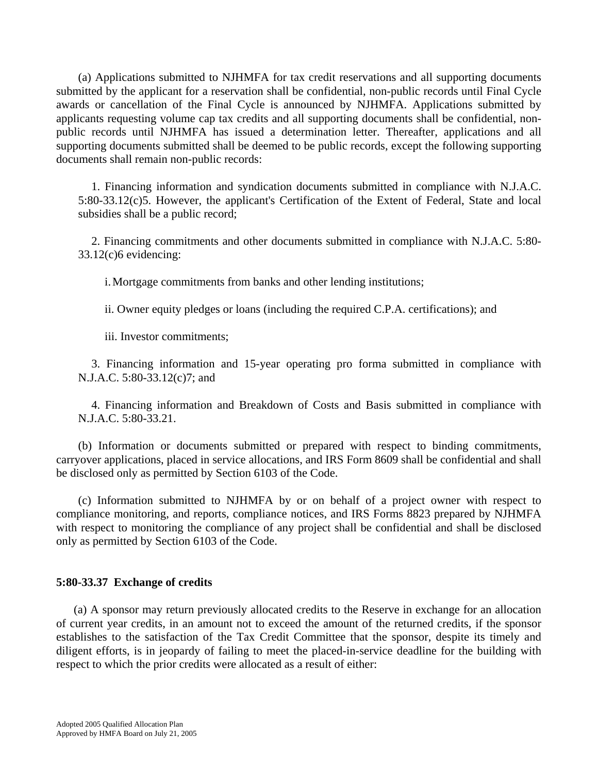(a) Applications submitted to NJHMFA for tax credit reservations and all supporting documents submitted by the applicant for a reservation shall be confidential, non-public records until Final Cycle awards or cancellation of the Final Cycle is announced by NJHMFA. Applications submitted by applicants requesting volume cap tax credits and all supporting documents shall be confidential, nonpublic records until NJHMFA has issued a determination letter. Thereafter, applications and all supporting documents submitted shall be deemed to be public records, except the following supporting documents shall remain non-public records:

1. Financing information and syndication documents submitted in compliance with N.J.A.C. 5:80-33.12(c)5. However, the applicant's Certification of the Extent of Federal, State and local subsidies shall be a public record;

2. Financing commitments and other documents submitted in compliance with N.J.A.C. 5:80- 33.12(c)6 evidencing:

i. Mortgage commitments from banks and other lending institutions;

ii. Owner equity pledges or loans (including the required C.P.A. certifications); and

iii. Investor commitments;

3. Financing information and 15-year operating pro forma submitted in compliance with N.J.A.C. 5:80-33.12(c)7; and

4. Financing information and Breakdown of Costs and Basis submitted in compliance with N.J.A.C. 5:80-33.21.

 (b) Information or documents submitted or prepared with respect to binding commitments, carryover applications, placed in service allocations, and IRS Form 8609 shall be confidential and shall be disclosed only as permitted by Section 6103 of the Code.

 (c) Information submitted to NJHMFA by or on behalf of a project owner with respect to compliance monitoring, and reports, compliance notices, and IRS Forms 8823 prepared by NJHMFA with respect to monitoring the compliance of any project shall be confidential and shall be disclosed only as permitted by Section 6103 of the Code.

# **5:80-33.37 Exchange of credits**

 (a) A sponsor may return previously allocated credits to the Reserve in exchange for an allocation of current year credits, in an amount not to exceed the amount of the returned credits, if the sponsor establishes to the satisfaction of the Tax Credit Committee that the sponsor, despite its timely and diligent efforts, is in jeopardy of failing to meet the placed-in-service deadline for the building with respect to which the prior credits were allocated as a result of either: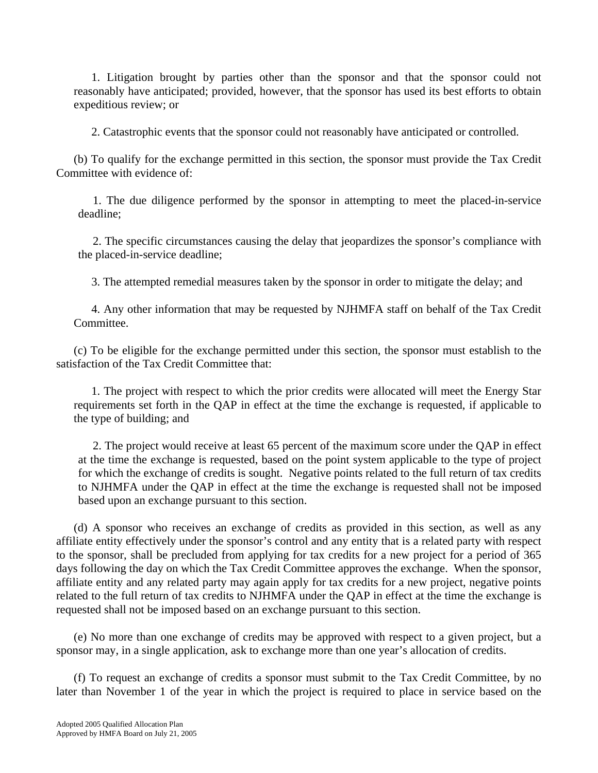1. Litigation brought by parties other than the sponsor and that the sponsor could not reasonably have anticipated; provided, however, that the sponsor has used its best efforts to obtain expeditious review; or

2. Catastrophic events that the sponsor could not reasonably have anticipated or controlled.

 (b) To qualify for the exchange permitted in this section, the sponsor must provide the Tax Credit Committee with evidence of:

 1. The due diligence performed by the sponsor in attempting to meet the placed-in-service deadline;

 2. The specific circumstances causing the delay that jeopardizes the sponsor's compliance with the placed-in-service deadline;

3. The attempted remedial measures taken by the sponsor in order to mitigate the delay; and

 4. Any other information that may be requested by NJHMFA staff on behalf of the Tax Credit Committee.

 (c) To be eligible for the exchange permitted under this section, the sponsor must establish to the satisfaction of the Tax Credit Committee that:

 1. The project with respect to which the prior credits were allocated will meet the Energy Star requirements set forth in the QAP in effect at the time the exchange is requested, if applicable to the type of building; and

 2. The project would receive at least 65 percent of the maximum score under the QAP in effect at the time the exchange is requested, based on the point system applicable to the type of project for which the exchange of credits is sought. Negative points related to the full return of tax credits to NJHMFA under the QAP in effect at the time the exchange is requested shall not be imposed based upon an exchange pursuant to this section.

 (d) A sponsor who receives an exchange of credits as provided in this section, as well as any affiliate entity effectively under the sponsor's control and any entity that is a related party with respect to the sponsor, shall be precluded from applying for tax credits for a new project for a period of 365 days following the day on which the Tax Credit Committee approves the exchange. When the sponsor, affiliate entity and any related party may again apply for tax credits for a new project, negative points related to the full return of tax credits to NJHMFA under the QAP in effect at the time the exchange is requested shall not be imposed based on an exchange pursuant to this section.

 (e) No more than one exchange of credits may be approved with respect to a given project, but a sponsor may, in a single application, ask to exchange more than one year's allocation of credits.

 (f) To request an exchange of credits a sponsor must submit to the Tax Credit Committee, by no later than November 1 of the year in which the project is required to place in service based on the